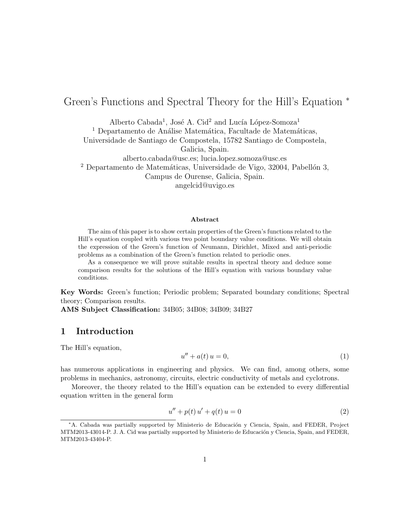# Green's Functions and Spectral Theory for the Hill's Equation <sup>\*</sup>

Alberto Cabada<sup>1</sup>, José A. Cid<sup>2</sup> and Lucía López-Somoza<sup>1</sup>

 $<sup>1</sup>$  Departamento de Análise Matemática, Facultade de Matemáticas,</sup>

Universidade de Santiago de Compostela, 15782 Santiago de Compostela,

Galicia, Spain.

alberto.cabada@usc.es; lucia.lopez.somoza@usc.es  $2$  Departamento de Matemáticas, Universidade de Vigo, 32004, Pabellón 3, Campus de Ourense, Galicia, Spain. angelcid@uvigo.es

#### Abstract

The aim of this paper is to show certain properties of the Green's functions related to the Hill's equation coupled with various two point boundary value conditions. We will obtain the expression of the Green's function of Neumann, Dirichlet, Mixed and anti-periodic problems as a combination of the Green's function related to periodic ones.

As a consequence we will prove suitable results in spectral theory and deduce some comparison results for the solutions of the Hill's equation with various boundary value conditions.

Key Words: Green's function; Periodic problem; Separated boundary conditions; Spectral theory; Comparison results.

AMS Subject Classification: 34B05; 34B08; 34B09; 34B27

## 1 Introduction

The Hill's equation,

$$
u'' + a(t) u = 0,\t\t(1)
$$

has numerous applications in engineering and physics. We can find, among others, some problems in mechanics, astronomy, circuits, electric conductivity of metals and cyclotrons.

Moreover, the theory related to the Hill's equation can be extended to every differential equation written in the general form

$$
u'' + p(t) u' + q(t) u = 0
$$
\n(2)

<sup>\*</sup>A. Cabada was partially supported by Ministerio de Educación y Ciencia, Spain, and FEDER, Project MTM2013-43014-P. J. A. Cid was partially supported by Ministerio de Educación y Ciencia, Spain, and FEDER, MTM2013-43404-P.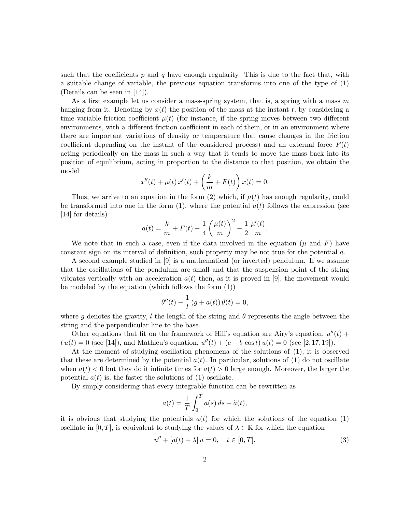such that the coefficients  $p$  and  $q$  have enough regularity. This is due to the fact that, with a suitable change of variable, the previous equation transforms into one of the type of (1) (Details can be seen in [14]).

As a first example let us consider a mass-spring system, that is, a spring with a mass  $m$ hanging from it. Denoting by  $x(t)$  the position of the mass at the instant t, by considering a time variable friction coefficient  $\mu(t)$  (for instance, if the spring moves between two different environments, with a different friction coefficient in each of them, or in an environment where there are important variations of density or temperature that cause changes in the friction coefficient depending on the instant of the considered process) and an external force  $F(t)$ acting periodically on the mass in such a way that it tends to move the mass back into its position of equilibrium, acting in proportion to the distance to that position, we obtain the model

$$
x''(t) + \mu(t) x'(t) + \left(\frac{k}{m} + F(t)\right) x(t) = 0.
$$

Thus, we arrive to an equation in the form (2) which, if  $\mu(t)$  has enough regularity, could be transformed into one in the form  $(1)$ , where the potential  $a(t)$  follows the expression (see [14] for details)

$$
a(t) = \frac{k}{m} + F(t) - \frac{1}{4} \left( \frac{\mu(t)}{m} \right)^2 - \frac{1}{2} \frac{\mu'(t)}{m}.
$$

We note that in such a case, even if the data involved in the equation ( $\mu$  and F) have constant sign on its interval of definition, such property may be not true for the potential a.

A second example studied in [9] is a mathematical (or inverted) pendulum. If we assume that the oscillations of the pendulum are small and that the suspension point of the string vibrates vertically with an acceleration  $a(t)$  then, as it is proved in [9], the movement would be modeled by the equation (which follows the form (1))

$$
\theta''(t) - \frac{1}{l} (g + a(t)) \theta(t) = 0,
$$

where g denotes the gravity, l the length of the string and  $\theta$  represents the angle between the string and the perpendicular line to the base.

Other equations that fit on the framework of Hill's equation are Airy's equation,  $u''(t)$  +  $t u(t) = 0$  (see [14]), and Mathieu's equation,  $u''(t) + (c + b \cos t) u(t) = 0$  (see [2,17,19]).

At the moment of studying oscillation phenomena of the solutions of (1), it is observed that these are determined by the potential  $a(t)$ . In particular, solutions of (1) do not oscillate when  $a(t) < 0$  but they do it infinite times for  $a(t) > 0$  large enough. Moreover, the larger the potential  $a(t)$  is, the faster the solutions of (1) oscillate.

By simply considering that every integrable function can be rewritten as

$$
a(t) = \frac{1}{T} \int_0^T a(s) \, ds + \tilde{a}(t),
$$

it is obvious that studying the potentials  $a(t)$  for which the solutions of the equation (1) oscillate in [0, T], is equivalent to studying the values of  $\lambda \in \mathbb{R}$  for which the equation

$$
u'' + [a(t) + \lambda] u = 0, \quad t \in [0, T],
$$
\n(3)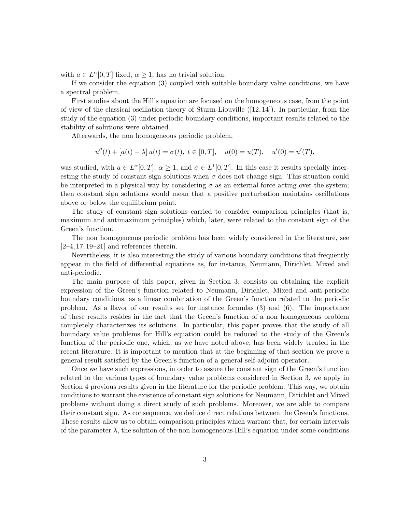with  $a \in L^{\alpha}[0,T]$  fixed,  $\alpha \geq 1$ , has no trivial solution.

If we consider the equation (3) coupled with suitable boundary value conditions, we have a spectral problem.

First studies about the Hill's equation are focused on the homogeneous case, from the point of view of the classical oscillation theory of Sturm-Liouville  $(12, 14)$ . In particular, from the study of the equation (3) under periodic boundary conditions, important results related to the stability of solutions were obtained.

Afterwards, the non homogeneous periodic problem,

$$
u''(t) + [a(t) + \lambda] u(t) = \sigma(t), \ t \in [0, T], \quad u(0) = u(T), \quad u'(0) = u'(T),
$$

was studied, with  $a \in L^{\alpha}[0,T], \alpha \geq 1$ , and  $\sigma \in L^{1}[0,T]$ . In this case it results specially interesting the study of constant sign solutions when  $\sigma$  does not change sign. This situation could be interpreted in a physical way by considering  $\sigma$  as an external force acting over the system; then constant sign solutions would mean that a positive perturbation maintains oscillations above or below the equilibrium point.

The study of constant sign solutions carried to consider comparison principles (that is, maximum and antimaximum principles) which, later, were related to the constant sign of the Green's function.

The non homogeneous periodic problem has been widely considered in the literature, see  $[2-4, 17, 19-21]$  and references therein.

Nevertheless, it is also interesting the study of various boundary conditions that frequently appear in the field of differential equations as, for instance, Neumann, Dirichlet, Mixed and anti-periodic.

The main purpose of this paper, given in Section 3, consists on obtaining the explicit expression of the Green's function related to Neumann, Dirichlet, Mixed and anti-periodic boundary conditions, as a linear combination of the Green's function related to the periodic problem. As a flavor of our results see for instance formulas (3) and (6). The importance of these results resides in the fact that the Green's function of a non homogeneous problem completely characterizes its solutions. In particular, this paper proves that the study of all boundary value problems for Hill's equation could be reduced to the study of the Green's function of the periodic one, which, as we have noted above, has been widely treated in the recent literature. It is important to mention that at the beginning of that section we prove a general result satisfied by the Green's function of a general self-adjoint operator.

Once we have such expressions, in order to assure the constant sign of the Green's function related to the various types of boundary value problems considered in Section 3, we apply in Section 4 previous results given in the literature for the periodic problem. This way, we obtain conditions to warrant the existence of constant sign solutions for Neumann, Dirichlet and Mixed problems without doing a direct study of such problems. Moreover, we are able to compare their constant sign. As consequence, we deduce direct relations between the Green's functions. These results allow us to obtain comparison principles which warrant that, for certain intervals of the parameter  $\lambda$ , the solution of the non homogeneous Hill's equation under some conditions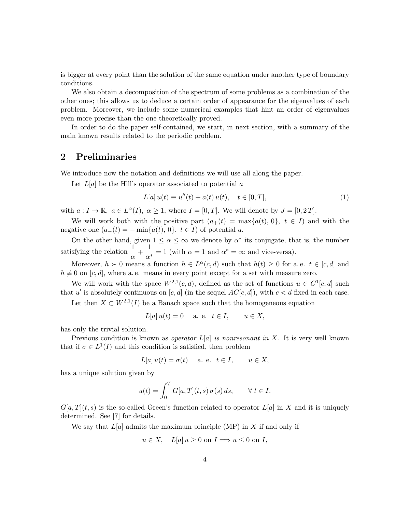is bigger at every point than the solution of the same equation under another type of boundary conditions.

We also obtain a decomposition of the spectrum of some problems as a combination of the other ones; this allows us to deduce a certain order of appearance for the eigenvalues of each problem. Moreover, we include some numerical examples that hint an order of eigenvalues even more precise than the one theoretically proved.

In order to do the paper self-contained, we start, in next section, with a summary of the main known results related to the periodic problem.

## 2 Preliminaries

We introduce now the notation and definitions we will use all along the paper.

Let  $L[a]$  be the Hill's operator associated to potential a

$$
L[a] u(t) \equiv u''(t) + a(t) u(t), \quad t \in [0, T],
$$
\n(1)

with  $a: I \to \mathbb{R}, a \in L^{\alpha}(I), \alpha \geq 1$ , where  $I = [0, T]$ . We will denote by  $J = [0, 2T]$ .

We will work both with the positive part  $(a_+(t) = \max\{a(t), 0\}, t \in I)$  and with the negative one  $(a_-(t) = -\min\{a(t), 0\}, t \in I)$  of potential a.

On the other hand, given  $1 \leq \alpha \leq \infty$  we denote by  $\alpha^*$  its conjugate, that is, the number satisfying the relation  $\frac{1}{\alpha} + \frac{1}{\alpha^2}$  $\frac{1}{\alpha^*} = 1$  (with  $\alpha = 1$  and  $\alpha^* = \infty$  and vice-versa).

Moreover,  $h \geq 0$  means a function  $h \in L^{\alpha}(c,d)$  such that  $h(t) \geq 0$  for a.e.  $t \in [c,d]$  and  $h \neq 0$  on  $[c, d]$ , where a. e. means in every point except for a set with measure zero.

We will work with the space  $W^{2,1}(c,d)$ , defined as the set of functions  $u \in C^1[c,d]$  such that u' is absolutely continuous on  $[c, d]$  (in the sequel  $AC[c, d]$ ), with  $c < d$  fixed in each case.

Let then  $X \subset W^{2,1}(I)$  be a Banach space such that the homogeneous equation

$$
L[a]u(t) = 0 \quad \text{a. e. } t \in I, \qquad u \in X,
$$

has only the trivial solution.

Previous condition is known as *operator*  $L[a]$  is nonresonant in X. It is very well known that if  $\sigma \in L^1(I)$  and this condition is satisfied, then problem

$$
L[a]u(t) = \sigma(t)
$$
 a. e.  $t \in I$ ,  $u \in X$ ,

has a unique solution given by

$$
u(t) = \int_0^T G[a, T](t, s) \sigma(s) ds, \qquad \forall \ t \in I.
$$

 $G[a,T](t,s)$  is the so-called Green's function related to operator  $L[a]$  in X and it is uniquely determined. See [7] for details.

We say that  $L[a]$  admits the maximum principle (MP) in X if and only if

$$
u \in X
$$
,  $L[a]u \ge 0$  on  $I \Longrightarrow u \le 0$  on  $I$ ,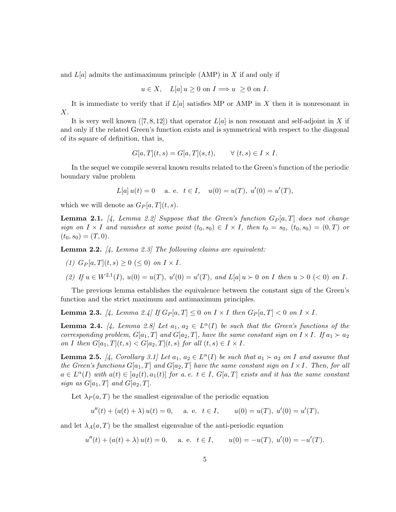and  $L[a]$  admits the antimaximum principle (AMP) in X if and only if

$$
u \in X
$$
,  $L[a]u \ge 0$  on  $I \Longrightarrow u \ge 0$  on I.

It is immediate to verify that if  $L[a]$  satisfies MP or AMP in X then it is nonresonant in X.

It is very well known  $([7, 8, 12])$  that operator  $L[a]$  is non resonant and self-adjoint in X if and only if the related Green's function exists and is symmetrical with respect to the diagonal of its square of definition, that is,

$$
G[a,T](t,s) = G[a,T](s,t), \qquad \forall (t,s) \in I \times I.
$$

In the sequel we compile several known results related to the Green's function of the periodic boundary value problem

$$
L[a]u(t) = 0
$$
 a. e.  $t \in I$ ,  $u(0) = u(T)$ ,  $u'(0) = u'(T)$ ,

which we will denote as  $G_P[a,T](t,s)$ .

**Lemma 2.1.** [4, Lemma 2.2] Suppose that the Green's function  $G_P[a,T]$  does not change sign on  $I \times I$  and vanishes at some point  $(t_0, s_0) \in I \times I$ , then  $t_0 = s_0$ ,  $(t_0, s_0) = (0, T)$  or  $(t_0, s_0) = (T, 0).$ 

**Lemma 2.2.**  $\left[4, \text{ Lemma 2.3}\right]$  The following claims are equivalent:

- (1)  $G_P[a,T](t,s) \geq 0 \leq 0$  on  $I \times I$ .
- (2) If  $u \in W^{2,1}(I)$ ,  $u(0) = u(T)$ ,  $u'(0) = u'(T)$ , and  $L[a]$   $u > 0$  on I then  $u > 0$  (< 0) on I.

The previous lemma establishes the equivalence between the constant sign of the Green's function and the strict maximum and antimaximum principles.

**Lemma 2.3.**  $\begin{bmatrix} \n4, \text{ Lemma 2.4} \n\end{bmatrix}$  If  $G_P[a, T] \leq 0$  on  $I \times I$  then  $G_P[a, T] < 0$  on  $I \times I$ .

**Lemma 2.4.** [4, Lemma 2.8] Let  $a_1, a_2 \in L^{\alpha}(I)$  be such that the Green's functions of the corresponding problem,  $G[a_1, T]$  and  $G[a_2, T]$ , have the same constant sign on  $I \times I$ . If  $a_1 \succ a_2$ on I then  $G[a_1, T](t, s) < G[a_2, T](t, s)$  for all  $(t, s) \in I \times I$ .

**Lemma 2.5.** [4, Corollary 3.1] Let  $a_1, a_2 \in L^{\alpha}(I)$  be such that  $a_1 \succ a_2$  on I and assume that the Green's functions  $G[a_1, T]$  and  $G[a_2, T]$  have the same constant sign on  $I \times I$ . Then, for all  $a \in L^{\alpha}(I)$  with  $a(t) \in [a_2(t), a_1(t)]$  for a. e.  $t \in I$ ,  $G[a, T]$  exists and it has the same constant sign as  $G[a_1,T]$  and  $G[a_2,T]$ .

Let  $\lambda_P(a,T)$  be the smallest eigenvalue of the periodic equation

$$
u''(t) + (a(t) + \lambda) u(t) = 0
$$
, a. e.  $t \in I$ ,  $u(0) = u(T)$ ,  $u'(0) = u'(T)$ ,

and let  $\lambda_A(a,T)$  be the smallest eigenvalue of the anti-periodic equation

 $u''(t) + (a(t) + \lambda) u(t) = 0$ , a. e.  $t \in I$ ,  $u(0) = -u(T)$ ,  $u'(0) = -u'(T)$ .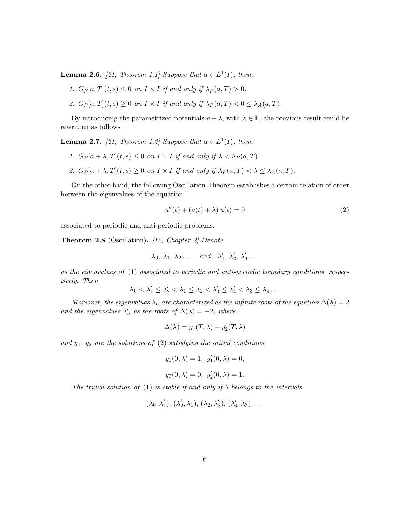**Lemma 2.6.** [21, Theorem 1.1] Suppose that  $a \in L^1(I)$ , then:

- 1.  $G_P[a,T](t,s) \leq 0$  on  $I \times I$  if and only if  $\lambda_P(a,T) > 0$ .
- 2.  $G_P[a,T](t,s) \geq 0$  on  $I \times I$  if and only if  $\lambda_P(a,T) < 0 \leq \lambda_A(a,T)$ .

By introducing the parametrized potentials  $a + \lambda$ , with  $\lambda \in \mathbb{R}$ , the previous result could be rewritten as follows

**Lemma 2.7.** [21, Theorem 1.2] Suppose that  $a \in L^1(I)$ , then:

- 1.  $G_P[a + \lambda, T](t, s) \leq 0$  on  $I \times I$  if and only if  $\lambda < \lambda_P(a, T)$ .
- 2.  $G_P[a + \lambda, T](t, s) \geq 0$  on  $I \times I$  if and only if  $\lambda_P(a, T) < \lambda \leq \lambda_A(a, T)$ .

On the other hand, the following Oscillation Theorem establishes a certain relation of order between the eigenvalues of the equation

$$
u''(t) + (a(t) + \lambda) u(t) = 0
$$
\n(2)

associated to periodic and anti-periodic problems.

**Theorem 2.8** (Oscillation). [12, Chapter 2] Denote

$$
\lambda_0, \lambda_1, \lambda_2 \ldots
$$
 and  $\lambda'_1, \lambda'_2, \lambda'_3 \ldots$ 

as the eigenvalues of (1) associated to periodic and anti-periodic boundary conditions, respectively. Then

$$
\lambda_0 < \lambda_1' \leq \lambda_2' < \lambda_1 \leq \lambda_2 < \lambda_3' \leq \lambda_4' < \lambda_3 \leq \lambda_4 \ldots
$$

Moreover, the eigenvalues  $\lambda_n$  are characterized as the infinite roots of the equation  $\Delta(\lambda) = 2$ and the eigenvalues  $\lambda'_n$  as the roots of  $\Delta(\lambda) = -2$ , where

$$
\Delta(\lambda)=y_1(T,\lambda)+y_2'(T,\lambda)
$$

and  $y_1$ ,  $y_2$  are the solutions of (2) satisfying the initial conditions

$$
y_1(0, \lambda) = 1, y'_1(0, \lambda) = 0,
$$
  
 $y_2(0, \lambda) = 0, y'_2(0, \lambda) = 1.$ 

The trivial solution of (1) is stable if and only if  $\lambda$  belongs to the intervals

$$
(\lambda_0, \lambda'_1), (\lambda'_2, \lambda_1), (\lambda_2, \lambda'_3), (\lambda'_4, \lambda_3), \ldots
$$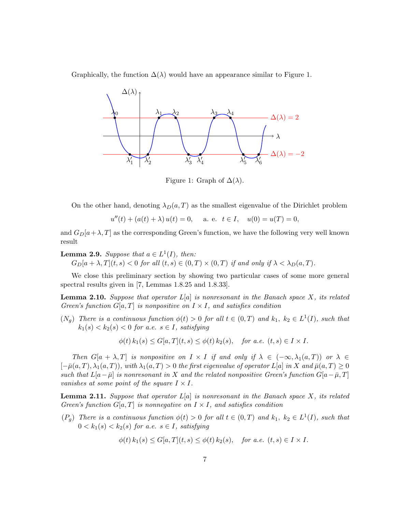Graphically, the function  $\Delta(\lambda)$  would have an appearance similar to Figure 1.



Figure 1: Graph of  $\Delta(\lambda)$ .

On the other hand, denoting  $\lambda_D(a, T)$  as the smallest eigenvalue of the Dirichlet problem

$$
u''(t) + (a(t) + \lambda) u(t) = 0
$$
, a. e.  $t \in I$ ,  $u(0) = u(T) = 0$ ,

and  $G_D[a+\lambda, T]$  as the corresponding Green's function, we have the following very well known result

**Lemma 2.9.** Suppose that  $a \in L^1(I)$ , then:

 $G_D[a + \lambda, T](t, s) < 0$  for all  $(t, s) \in (0, T) \times (0, T)$  if and only if  $\lambda < \lambda_D(a, T)$ .

We close this preliminary section by showing two particular cases of some more general spectral results given in [7, Lemmas 1.8.25 and 1.8.33].

**Lemma 2.10.** Suppose that operator  $L[a]$  is nonresonant in the Banach space X, its related Green's function  $G[a,T]$  is nonpositive on  $I \times I$ , and satisfies condition

 $(N_g)$  There is a continuous function  $\phi(t) > 0$  for all  $t \in (0,T)$  and  $k_1, k_2 \in L^1(I)$ , such that  $k_1(s) < k_2(s) < 0$  for a.e.  $s \in I$ , satisfying

$$
\phi(t) k_1(s) \le G[a, T](t, s) \le \phi(t) k_2(s), \quad \text{for a.e. } (t, s) \in I \times I.
$$

Then  $G[a + \lambda, T]$  is nonpositive on  $I \times I$  if and only if  $\lambda \in (-\infty, \lambda_1(a,T))$  or  $\lambda \in$  $[-\bar{\mu}(a,T),\lambda_1(a,T))$ , with  $\lambda_1(a,T) > 0$  the first eigenvalue of operator  $L[a]$  in X and  $\bar{\mu}(a,T) \geq 0$ such that  $L[a-\bar{\mu}]$  is nonresonant in X and the related nonpositive Green's function  $G[a-\bar{\mu}, T]$ vanishes at some point of the square  $I \times I$ .

**Lemma 2.11.** Suppose that operator  $L[a]$  is nonresonant in the Banach space X, its related Green's function  $G[a,T]$  is nonnegative on  $I \times I$ , and satisfies condition

 $(P_g)$  There is a continuous function  $\phi(t) > 0$  for all  $t \in (0,T)$  and  $k_1, k_2 \in L^1(I)$ , such that  $0 < k_1(s) < k_2(s)$  for a.e.  $s \in I$ , satisfying

$$
\phi(t) k_1(s) \le G[a, T](t, s) \le \phi(t) k_2(s), \quad \text{for a.e. } (t, s) \in I \times I.
$$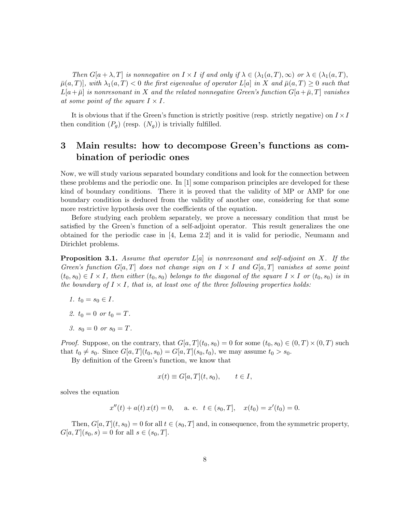Then  $G[a + \lambda, T]$  is nonnegative on  $I \times I$  if and only if  $\lambda \in (\lambda_1(a, T), \infty)$  or  $\lambda \in (\lambda_1(a, T),$  $\bar{\mu}(a,T)$ , with  $\lambda_1(a,T) < 0$  the first eigenvalue of operator  $L[a]$  in X and  $\bar{\mu}(a,T) \geq 0$  such that  $L[a+\bar{\mu}]$  is nonresonant in X and the related nonnegative Green's function  $G[a+\bar{\mu},T]$  vanishes at some point of the square  $I \times I$ .

It is obvious that if the Green's function is strictly positive (resp. strictly negative) on  $I \times I$ then condition  $(P_q)$  (resp.  $(N_q)$ ) is trivially fulfilled.

# 3 Main results: how to decompose Green's functions as combination of periodic ones

Now, we will study various separated boundary conditions and look for the connection between these problems and the periodic one. In [1] some comparison principles are developed for these kind of boundary conditions. There it is proved that the validity of MP or AMP for one boundary condition is deduced from the validity of another one, considering for that some more restrictive hypothesis over the coefficients of the equation.

Before studying each problem separately, we prove a necessary condition that must be satisfied by the Green's function of a self-adjoint operator. This result generalizes the one obtained for the periodic case in [4, Lema 2.2] and it is valid for periodic, Neumann and Dirichlet problems.

**Proposition 3.1.** Assume that operator  $L[a]$  is nonresonant and self-adjoint on X. If the Green's function  $G[a,T]$  does not change sign on  $I \times I$  and  $G[a,T]$  vanishes at some point  $(t_0, s_0) \in I \times I$ , then either  $(t_0, s_0)$  belongs to the diagonal of the square  $I \times I$  or  $(t_0, s_0)$  is in the boundary of  $I \times I$ , that is, at least one of the three following properties holds:

- 1.  $t_0 = s_0 \in I$ .
- 2.  $t_0 = 0$  or  $t_0 = T$ .
- 3.  $s_0 = 0$  or  $s_0 = T$ .

*Proof.* Suppose, on the contrary, that  $G[a, T](t_0, s_0) = 0$  for some  $(t_0, s_0) \in (0, T) \times (0, T)$  such that  $t_0 \neq s_0$ . Since  $G[a, T](t_0, s_0) = G[a, T](s_0, t_0)$ , we may assume  $t_0 > s_0$ .

By definition of the Green's function, we know that

$$
x(t) \equiv G[a, T](t, s_0), \qquad t \in I,
$$

solves the equation

$$
x''(t) + a(t)x(t) = 0
$$
, a. e.  $t \in (s_0, T]$ ,  $x(t_0) = x'(t_0) = 0$ .

Then,  $G[a, T](t, s_0) = 0$  for all  $t \in (s_0, T]$  and, in consequence, from the symmetric property,  $G[a,T](s_0,s) = 0$  for all  $s \in (s_0,T]$ .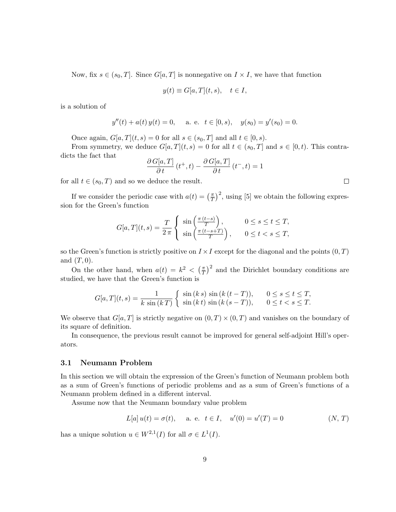Now, fix  $s \in (s_0, T]$ . Since  $G[a, T]$  is nonnegative on  $I \times I$ , we have that function

$$
y(t) \equiv G[a, T](t, s), \quad t \in I,
$$

is a solution of

$$
y''(t) + a(t) y(t) = 0
$$
, a. e.  $t \in [0, s)$ ,  $y(s_0) = y'(s_0) = 0$ .

Once again,  $G[a, T](t, s) = 0$  for all  $s \in (s_0, T]$  and all  $t \in [0, s)$ .

From symmetry, we deduce  $G[a, T](t, s) = 0$  for all  $t \in (s_0, T]$  and  $s \in [0, t)$ . This contradicts the fact that

$$
\frac{\partial G[a,T]}{\partial t}(t^+,t) - \frac{\partial G[a,T]}{\partial t}(t^-,t) = 1
$$

for all  $t \in (s_0, T)$  and so we deduce the result.

If we consider the periodic case with  $a(t) = \left(\frac{\pi}{7}\right)$  $(\frac{\pi}{T})^2$ , using [5] we obtain the following expression for the Green's function

$$
G[a,T](t,s) = \frac{T}{2\pi} \begin{cases} \sin\left(\frac{\pi(t-s)}{T}\right), & 0 \le s \le t \le T, \\ \sin\left(\frac{\pi(t-s+T)}{T}\right), & 0 \le t < s \le T, \end{cases}
$$

so the Green's function is strictly positive on  $I \times I$  except for the diagonal and the points  $(0, T)$ and  $(T, 0)$ .

On the other hand, when  $a(t) = k^2 < (\frac{\pi}{7})$  $(\frac{\pi}{T})^2$  and the Dirichlet boundary conditions are studied, we have that the Green's function is

$$
G[a,T](t,s) = \frac{1}{k \sin(kT)} \begin{cases} \sin(ks) \sin(k(t-T)), & 0 \le s \le t \le T, \\ \sin(kt) \sin(k(s-T)), & 0 \le t < s \le T. \end{cases}
$$

We observe that  $G[a, T]$  is strictly negative on  $(0, T) \times (0, T)$  and vanishes on the boundary of its square of definition.

In consequence, the previous result cannot be improved for general self-adjoint Hill's operators.

#### 3.1 Neumann Problem

In this section we will obtain the expression of the Green's function of Neumann problem both as a sum of Green's functions of periodic problems and as a sum of Green's functions of a Neumann problem defined in a different interval.

Assume now that the Neumann boundary value problem

$$
L[a] u(t) = \sigma(t)
$$
, a. e.  $t \in I$ ,  $u'(0) = u'(T) = 0$  (N, T)

has a unique solution  $u \in W^{2,1}(I)$  for all  $\sigma \in L^1(I)$ .

 $\Box$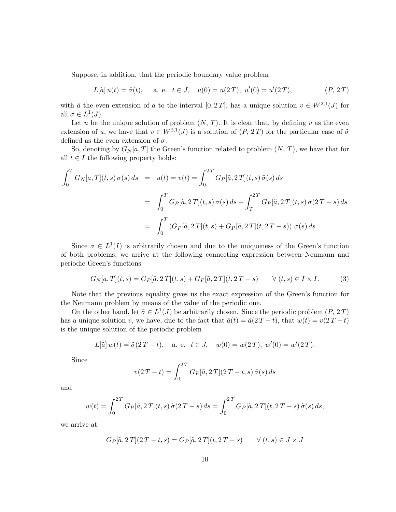Suppose, in addition, that the periodic boundary value problem

$$
L[\tilde{a}] u(t) = \tilde{\sigma}(t)
$$
, a. e.  $t \in J$ ,  $u(0) = u(2T)$ ,  $u'(0) = u'(2T)$ ,  $(P, 2T)$ 

with  $\tilde{a}$  the even extension of a to the interval  $[0, 2T]$ , has a unique solution  $v \in W^{2,1}(J)$  for all  $\tilde{\sigma} \in L^1(J)$ .

Let u be the unique solution of problem  $(N, T)$ . It is clear that, by defining v as the even extension of u, we have that  $v \in W^{2,1}(J)$  is a solution of  $(P, 2T)$  for the particular case of  $\tilde{\sigma}$ defined as the even extension of  $\sigma$ .

So, denoting by  $G_N[a,T]$  the Green's function related to problem  $(N, T)$ , we have that for all  $t \in I$  the following property holds:

$$
\int_0^T G_N[a,T](t,s) \sigma(s) ds = u(t) = v(t) = \int_0^{2T} G_P[\tilde{a}, 2T](t,s) \tilde{\sigma}(s) ds
$$
  
= 
$$
\int_0^T G_P[\tilde{a}, 2T](t,s) \sigma(s) ds + \int_T^{2T} G_P[\tilde{a}, 2T](t,s) \sigma(2T - s) ds
$$
  
= 
$$
\int_0^T (G_P[\tilde{a}, 2T](t,s) + G_P[\tilde{a}, 2T](t, 2T - s)) \sigma(s) ds.
$$

Since  $\sigma \in L^1(I)$  is arbitrarily chosen and due to the uniqueness of the Green's function of both problems, we arrive at the following connecting expression between Neumann and periodic Green's functions

$$
G_N[a,T](t,s) = G_P[\tilde{a},2T](t,s) + G_P[\tilde{a},2T](t,2T-s) \qquad \forall (t,s) \in I \times I. \tag{3}
$$

Note that the previous equality gives us the exact expression of the Green's function for the Neumann problem by means of the value of the periodic one.

On the other hand, let  $\tilde{\sigma} \in L^1(J)$  be arbitrarily chosen. Since the periodic problem  $(P, 2T)$ has a unique solution v, we have, due to the fact that  $\tilde{a}(t) = \tilde{a}(2T - t)$ , that  $w(t) = v(2T - t)$ is the unique solution of the periodic problem

$$
L[\tilde{a}] w(t) = \tilde{\sigma}(2T - t)
$$
, a. e.  $t \in J$ ,  $w(0) = w(2T)$ ,  $w'(0) = w'(2T)$ .

Since

$$
v(2T - t) = \int_0^{2T} G_P[\tilde{a}, 2T](2T - t, s) \tilde{\sigma}(s) ds
$$

and

$$
w(t) = \int_0^{2T} G_P[\tilde{a}, 2T](t, s) \,\tilde{\sigma}(2T - s) \, ds = \int_0^{2T} G_P[\tilde{a}, 2T](t, 2T - s) \,\tilde{\sigma}(s) \, ds,
$$

we arrive at

$$
G_P[\tilde{a}, 2T](2T-t, s) = G_P[\tilde{a}, 2T](t, 2T-s) \qquad \forall (t, s) \in J \times J
$$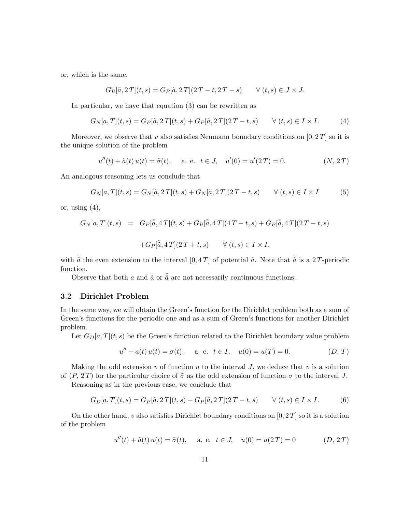or, which is the same,

$$
G_P[\tilde{a}, 2T](t,s) = G_P[\tilde{a}, 2T](2T - t, 2T - s) \qquad \forall (t,s) \in J \times J.
$$

In particular, we have that equation (3) can be rewritten as

$$
G_N[a,T](t,s) = G_P[\tilde{a},2T](t,s) + G_P[\tilde{a},2T](2T-t,s) \quad \forall (t,s) \in I \times I.
$$
 (4)

Moreover, we observe that v also satisfies Neumann boundary conditions on  $[0, 2T]$  so it is the unique solution of the problem

$$
u''(t) + \tilde{a}(t) u(t) = \tilde{\sigma}(t), \quad \text{a. e. } t \in J, \quad u'(0) = u'(2T) = 0. \tag{N, 2T}
$$

An analogous reasoning lets us conclude that

$$
G_N[a,T](t,s) = G_N[\tilde{a},2T](t,s) + G_N[\tilde{a},2T](2T-t,s) \qquad \forall (t,s) \in I \times I \tag{5}
$$

or, using  $(4)$ ,

$$
G_N[a,T](t,s) = G_P[\tilde{\tilde{a}},4T](t,s) + G_P[\tilde{\tilde{a}},4T](4T-t,s) + G_P[\tilde{\tilde{a}},4T](2T-t,s)
$$

$$
+ G_P[\tilde{\tilde{a}},4T](2T+t,s) \qquad \forall (t,s) \in I \times I,
$$

with  $\tilde{\tilde{a}}$  the even extension to the interval [0, 4 T] of potential  $\tilde{a}$ . Note that  $\tilde{\tilde{a}}$  is a 2 T-periodic function.

Observe that both a and  $\tilde{a}$  or  $\tilde{a}$  are not necessarily continuous functions.

#### 3.2 Dirichlet Problem

In the same way, we will obtain the Green's function for the Dirichlet problem both as a sum of Green's functions for the periodic one and as a sum of Green's functions for another Dirichlet problem.

Let  $G_D[a,T](t,s)$  be the Green's function related to the Dirichlet boundary value problem

$$
u'' + a(t) u(t) = \sigma(t), \quad \text{a. e. } t \in I, \quad u(0) = u(T) = 0. \tag{D, T}
$$

Making the odd extension  $v$  of function  $u$  to the interval  $J$ , we deduce that  $v$  is a solution of  $(P, 2T)$  for the particular choice of  $\tilde{\sigma}$  as the odd extension of function  $\sigma$  to the interval J.

Reasoning as in the previous case, we conclude that

$$
G_D[a,T](t,s) = G_P[\tilde{a},2T](t,s) - G_P[\tilde{a},2T](2T-t,s) \qquad \forall (t,s) \in I \times I. \tag{6}
$$

On the other hand, v also satisfies Dirichlet boundary conditions on  $[0, 2T]$  so it is a solution of the problem

$$
u''(t) + \tilde{a}(t) u(t) = \tilde{\sigma}(t), \quad \text{a. e. } t \in J, \quad u(0) = u(2T) = 0 \quad (D, 2T)
$$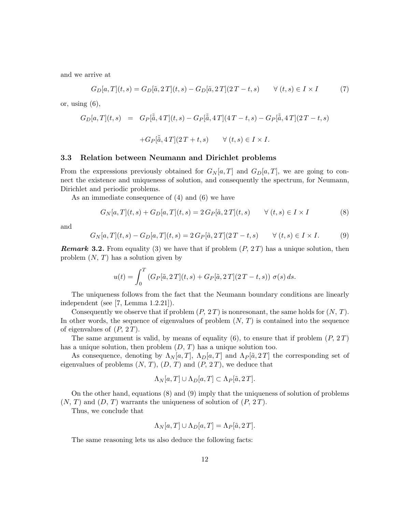and we arrive at

$$
G_D[a,T](t,s) = G_D[\tilde{a},2T](t,s) - G_D[\tilde{a},2T](2T-t,s) \qquad \forall (t,s) \in I \times I \tag{7}
$$

or, using  $(6)$ ,

$$
G_D[a,T](t,s) = G_P[\tilde{\tilde{a}}, 4T](t,s) - G_P[\tilde{\tilde{a}}, 4T](4T-t,s) - G_P[\tilde{\tilde{a}}, 4T](2T-t,s)
$$

$$
+ G_P[\tilde{\tilde{a}}, 4T](2T+t,s) \qquad \forall (t,s) \in I \times I.
$$

## 3.3 Relation between Neumann and Dirichlet problems

From the expressions previously obtained for  $G_N[a,T]$  and  $G_D[a,T]$ , we are going to connect the existence and uniqueness of solution, and consequently the spectrum, for Neumann, Dirichlet and periodic problems.

As an immediate consequence of (4) and (6) we have

$$
G_N[a, T](t, s) + G_D[a, T](t, s) = 2 G_P[\tilde{a}, 2T](t, s) \qquad \forall (t, s) \in I \times I \tag{8}
$$

and

$$
G_N[a,T](t,s) - G_D[a,T](t,s) = 2 G_P[\tilde{a},2T](2T-t,s) \qquad \forall (t,s) \in I \times I. \tag{9}
$$

**Remark 3.2.** From equality (3) we have that if problem  $(P, 2T)$  has a unique solution, then problem  $(N, T)$  has a solution given by

$$
u(t) = \int_0^T (G_P[\tilde{a}, 2T](t, s) + G_P[\tilde{a}, 2T](2T - t, s)) \sigma(s) ds.
$$

The uniqueness follows from the fact that the Neumann boundary conditions are linearly independent (see [7, Lemma 1.2.21]).

Consequently we observe that if problem  $(P, 2T)$  is nonresonant, the same holds for  $(N, T)$ . In other words, the sequence of eigenvalues of problem  $(N, T)$  is contained into the sequence of eigenvalues of  $(P, 2T)$ .

The same argument is valid, by means of equality (6), to ensure that if problem  $(P, 2T)$ has a unique solution, then problem  $(D, T)$  has a unique solution too.

As consequence, denoting by  $\Lambda_N[a,T]$ ,  $\Lambda_D[a,T]$  and  $\Lambda_P[\tilde{a}, 2T]$  the corresponding set of eigenvalues of problems  $(N, T), (D, T)$  and  $(P, 2T)$ , we deduce that

$$
\Lambda_N[a,T] \cup \Lambda_D[a,T] \subset \Lambda_P[\tilde{a},2T].
$$

On the other hand, equations (8) and (9) imply that the uniqueness of solution of problems  $(N, T)$  and  $(D, T)$  warrants the uniqueness of solution of  $(P, 2T)$ .

Thus, we conclude that

$$
\Lambda_N[a,T] \cup \Lambda_D[a,T] = \Lambda_P[\tilde{a},2T].
$$

The same reasoning lets us also deduce the following facts: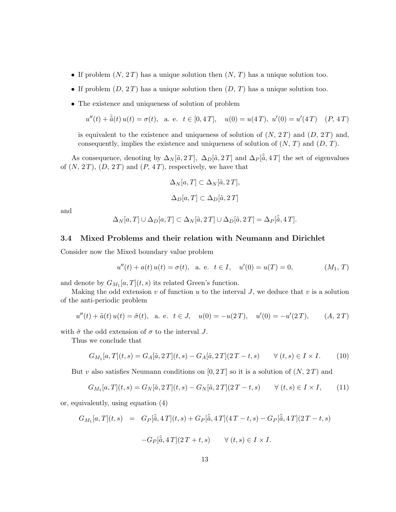- If problem  $(N, 2T)$  has a unique solution then  $(N, T)$  has a unique solution too.
- If problem  $(D, 2T)$  has a unique solution then  $(D, T)$  has a unique solution too.
- The existence and uniqueness of solution of problem

$$
u''(t) + \tilde{\tilde{a}}(t) u(t) = \sigma(t), \quad \text{a. e. } t \in [0, 4T], \quad u(0) = u(4T), \quad u'(0) = u'(4T) \quad (P, 4T)
$$

is equivalent to the existence and uniqueness of solution of  $(N, 2T)$  and  $(D, 2T)$  and, consequently, implies the existence and uniqueness of solution of  $(N, T)$  and  $(D, T)$ .

As consequence, denoting by  $\Delta_N[\tilde{a}, 2T]$ ,  $\Delta_D[\tilde{a}, 2T]$  and  $\Delta_P[\tilde{\tilde{a}}, 4T]$  the set of eigenvalues of  $(N, 2T)$ ,  $(D, 2T)$  and  $(P, 4T)$ , respectively, we have that

$$
\Delta_N[a, T] \subset \Delta_N[\tilde{a}, 2T],
$$
  

$$
\Delta_D[a, T] \subset \Delta_D[\tilde{a}, 2T]
$$

and

$$
\Delta_N[a,T] \cup \Delta_D[a,T] \subset \Delta_N[\tilde{a},2T] \cup \Delta_D[\tilde{a},2T] = \Delta_P[\tilde{\tilde{a}},4T].
$$

## 3.4 Mixed Problems and their relation with Neumann and Dirichlet

Consider now the Mixed boundary value problem

$$
u''(t) + a(t) u(t) = \sigma(t), \quad \text{a. e. } t \in I, \quad u'(0) = u(T) = 0, \quad (M_1, T)
$$

and denote by  $G_{M_1}[a,T](t,s)$  its related Green's function.

Making the odd extension v of function u to the interval  $J$ , we deduce that v is a solution of the anti-periodic problem

$$
u''(t) + \tilde{a}(t) u(t) = \tilde{\sigma}(t), \quad \text{a. e. } t \in J, \quad u(0) = -u(2T), \quad u'(0) = -u'(2T), \tag{A, 2T}
$$

with  $\tilde{\sigma}$  the odd extension of  $\sigma$  to the interval J.

Thus we conclude that

$$
G_{M_1}[a,T](t,s) = G_A[\tilde{a},2T](t,s) - G_A[\tilde{a},2T](2T-t,s) \qquad \forall (t,s) \in I \times I. \tag{10}
$$

But v also satisfies Neumann conditions on  $[0, 2T]$  so it is a solution of  $(N, 2T)$  and

$$
G_{M_1}[a,T](t,s) = G_N[\tilde{a},2T](t,s) - G_N[\tilde{a},2T](2T-t,s) \qquad \forall (t,s) \in I \times I,
$$
 (11)

or, equivalently, using equation (4)

$$
G_{M_1}[a,T](t,s) = G_P[\tilde{\tilde{a}}, 4T](t,s) + G_P[\tilde{\tilde{a}}, 4T](4T-t,s) - G_P[\tilde{\tilde{a}}, 4T](2T-t,s)
$$

$$
-G_P[\tilde{\tilde{a}}, 4T](2T+t,s) \qquad \forall (t,s) \in I \times I.
$$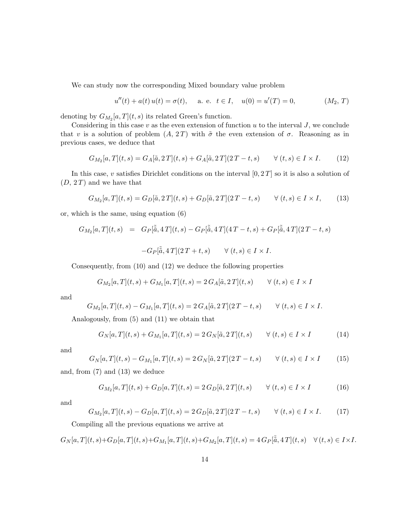We can study now the corresponding Mixed boundary value problem

$$
u''(t) + a(t) u(t) = \sigma(t)
$$
, a. e.  $t \in I$ ,  $u(0) = u'(T) = 0$ ,  $(M_2, T)$ 

denoting by  $G_{M_2}[a,T](t,s)$  its related Green's function.

Considering in this case  $v$  as the even extension of function  $u$  to the interval  $J$ , we conclude that v is a solution of problem  $(A, 2T)$  with  $\tilde{\sigma}$  the even extension of  $\sigma$ . Reasoning as in previous cases, we deduce that

$$
G_{M_2}[a,T](t,s) = G_A[\tilde{a},2T](t,s) + G_A[\tilde{a},2T](2T-t,s) \qquad \forall (t,s) \in I \times I. \tag{12}
$$

In this case, v satisfies Dirichlet conditions on the interval  $[0, 2T]$  so it is also a solution of  $(D, 2T)$  and we have that

$$
G_{M_2}[a,T](t,s) = G_D[\tilde{a},2T](t,s) + G_D[\tilde{a},2T](2T-t,s) \qquad \forall (t,s) \in I \times I,
$$
 (13)

or, which is the same, using equation (6)

$$
G_{M_2}[a, T](t, s) = G_P[\tilde{\tilde{a}}, 4T](t, s) - G_P[\tilde{\tilde{a}}, 4T](4T - t, s) + G_P[\tilde{\tilde{a}}, 4T](2T - t, s)
$$

$$
-G_P[\tilde{\tilde{a}}, 4T](2T + t, s) \qquad \forall (t, s) \in I \times I.
$$

Consequently, from (10) and (12) we deduce the following properties

$$
G_{M_2}[a, T](t, s) + G_{M_1}[a, T](t, s) = 2 G_A[\tilde{a}, 2T](t, s) \qquad \forall (t, s) \in I \times I
$$

and

$$
G_{M_2}[a,T](t,s) - G_{M_1}[a,T](t,s) = 2 G_A[\tilde{a},2T](2T-t,s) \qquad \forall (t,s) \in I \times I.
$$

Analogously, from (5) and (11) we obtain that

$$
G_N[a,T](t,s) + G_{M_1}[a,T](t,s) = 2 G_N[\tilde{a},2T](t,s) \qquad \forall (t,s) \in I \times I \tag{14}
$$

and

$$
G_N[a,T](t,s) - G_{M_1}[a,T](t,s) = 2 G_N[\tilde{a},2T](2T-t,s) \qquad \forall (t,s) \in I \times I \tag{15}
$$

and, from (7) and (13) we deduce

$$
G_{M_2}[a,T](t,s) + G_D[a,T](t,s) = 2 G_D[\tilde{a},2T](t,s) \qquad \forall (t,s) \in I \times I \tag{16}
$$

and

$$
G_{M_2}[a,T](t,s) - G_D[a,T](t,s) = 2 G_D[\tilde{a},2T](2T-t,s) \qquad \forall (t,s) \in I \times I. \tag{17}
$$

Compiling all the previous equations we arrive at

$$
G_N[a,T](t,s) + G_D[a,T](t,s) + G_{M_1}[a,T](t,s) + G_{M_2}[a,T](t,s) = 4 G_P[\tilde{a},4T](t,s) \quad \forall (t,s) \in I \times I.
$$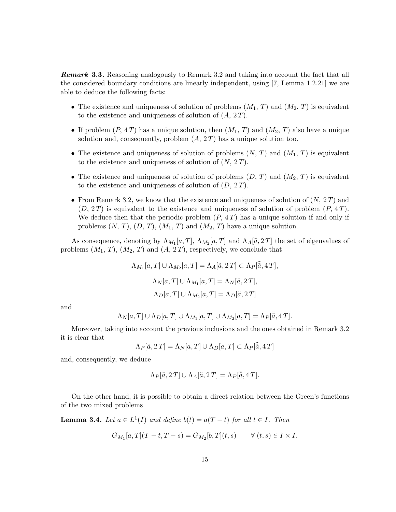**Remark 3.3.** Reasoning analogously to Remark 3.2 and taking into account the fact that all the considered boundary conditions are linearly independent, using [7, Lemma 1.2.21] we are able to deduce the following facts:

- The existence and uniqueness of solution of problems  $(M_1, T)$  and  $(M_2, T)$  is equivalent to the existence and uniqueness of solution of  $(A, 2T)$ .
- If problem  $(P, 4T)$  has a unique solution, then  $(M_1, T)$  and  $(M_2, T)$  also have a unique solution and, consequently, problem  $(A, 2T)$  has a unique solution too.
- The existence and uniqueness of solution of problems  $(N, T)$  and  $(M_1, T)$  is equivalent to the existence and uniqueness of solution of  $(N, 2T)$ .
- The existence and uniqueness of solution of problems  $(D, T)$  and  $(M_2, T)$  is equivalent to the existence and uniqueness of solution of  $(D, 2T)$ .
- From Remark 3.2, we know that the existence and uniqueness of solution of  $(N, 2T)$  and  $(D, 2T)$  is equivalent to the existence and uniqueness of solution of problem  $(P, 4T)$ . We deduce then that the periodic problem  $(P, 4T)$  has a unique solution if and only if problems  $(N, T), (D, T), (M_1, T)$  and  $(M_2, T)$  have a unique solution.

As consequence, denoting by  $\Lambda_{M_1}[a,T]$ ,  $\Lambda_{M_2}[a,T]$  and  $\Lambda_A[\tilde{a},2T]$  the set of eigenvalues of problems  $(M_1, T)$ ,  $(M_2, T)$  and  $(A, 2T)$ , respectively, we conclude that

> $\Lambda_{M_1}[a,T] \cup \Lambda_{M_2}[a,T] = \Lambda_A[\tilde{a},2T] \subset \Lambda_P[\tilde{\tilde{a}},4T],$  $\Lambda_N[a,T] \cup \Lambda_{M_1}[a,T] = \Lambda_N[\tilde{a},2T],$  $\Lambda_D[a,T] \cup \Lambda_{M_2}[a,T] = \Lambda_D[\tilde{a},2T]$

and

$$
\Lambda_N[a,T]\cup \Lambda_D[a,T]\cup \Lambda_{M_1}[a,T]\cup \Lambda_{M_2}[a,T]=\Lambda_P[\tilde{\tilde{a}},4T].
$$

Moreover, taking into account the previous inclusions and the ones obtained in Remark 3.2 it is clear that

$$
\Lambda_P[\tilde{a},2T]=\Lambda_N[a,T]\cup\Lambda_D[a,T]\subset\Lambda_P[\tilde{\tilde{a}},4T]
$$

and, consequently, we deduce

$$
\Lambda_P[\tilde{a},2T] \cup \Lambda_A[\tilde{a},2T] = \Lambda_P[\tilde{\tilde{a}},4T].
$$

On the other hand, it is possible to obtain a direct relation between the Green's functions of the two mixed problems

**Lemma 3.4.** Let  $a \in L^1(I)$  and define  $b(t) = a(T - t)$  for all  $t \in I$ . Then

$$
G_{M_1}[a, T](T - t, T - s) = G_{M_2}[b, T](t, s) \qquad \forall (t, s) \in I \times I.
$$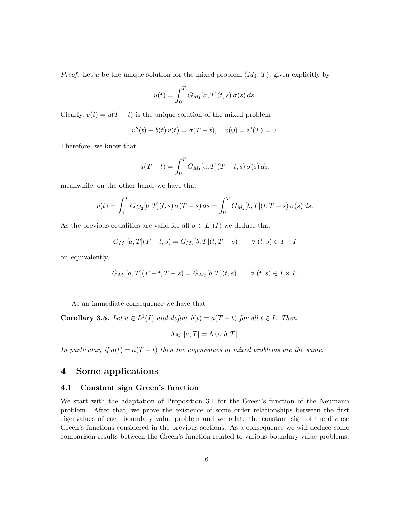*Proof.* Let u be the unique solution for the mixed problem  $(M_1, T)$ , given explicitly by

$$
u(t) = \int_0^T G_{M_1}[a,T](t,s) \,\sigma(s) \,ds.
$$

Clearly,  $v(t) = u(T - t)$  is the unique solution of the mixed problem

$$
v''(t) + b(t) v(t) = \sigma(T - t), \quad v(0) = v'(T) = 0.
$$

Therefore, we know that

$$
u(T - t) = \int_0^T G_{M_1}[a, T](T - t, s) \sigma(s) ds,
$$

meanwhile, on the other hand, we have that

$$
v(t) = \int_0^T G_{M_2}[b, T](t, s) \sigma(T - s) ds = \int_0^T G_{M_2}[b, T](t, T - s) \sigma(s) ds.
$$

As the previous equalities are valid for all  $\sigma \in L^1(I)$  we deduce that

$$
G_{M_1}[a,T](T-t,s) = G_{M_2}[b,T](t,T-s) \qquad \forall (t,s) \in I \times I
$$

or, equivalently,

$$
G_{M_1}[a,T](T-t,T-s) = G_{M_2}[b,T](t,s) \qquad \forall (t,s) \in I \times I.
$$

As an immediate consequence we have that

**Corollary 3.5.** Let  $a \in L^1(I)$  and define  $b(t) = a(T - t)$  for all  $t \in I$ . Then

$$
\Lambda_{M_1}[a,T] = \Lambda_{M_2}[b,T].
$$

In particular, if  $a(t) = a(T - t)$  then the eigenvalues of mixed problems are the same.

# 4 Some applications

### 4.1 Constant sign Green's function

We start with the adaptation of Proposition 3.1 for the Green's function of the Neumann problem. After that, we prove the existence of some order relationships between the first eigenvalues of each boundary value problem and we relate the constant sign of the diverse Green's functions considered in the previous sections. As a consequence we will deduce some comparison results between the Green's function related to various boundary value problems.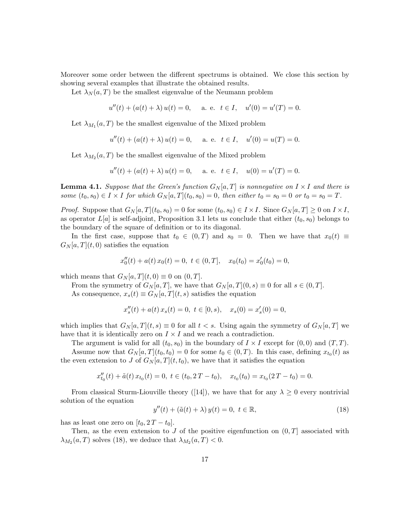Moreover some order between the different spectrums is obtained. We close this section by showing several examples that illustrate the obtained results.

Let  $\lambda_N(a,T)$  be the smallest eigenvalue of the Neumann problem

 $u''(t) + (a(t) + \lambda) u(t) = 0$ , a. e.  $t \in I$ ,  $u'(0) = u'(T) = 0$ .

Let  $\lambda_{M_1}(a,T)$  be the smallest eigenvalue of the Mixed problem

$$
u''(t) + (a(t) + \lambda) u(t) = 0, \quad \text{a. e. } t \in I, \quad u'(0) = u(T) = 0.
$$

Let  $\lambda_{M_2}(a,T)$  be the smallest eigenvalue of the Mixed problem

$$
u''(t) + (a(t) + \lambda) u(t) = 0
$$
, a. e.  $t \in I$ ,  $u(0) = u'(T) = 0$ .

**Lemma 4.1.** Suppose that the Green's function  $G_N[a,T]$  is nonnegative on  $I \times I$  and there is some  $(t_0, s_0) \in I \times I$  for which  $G_N[a, T](t_0, s_0) = 0$ , then either  $t_0 = s_0 = 0$  or  $t_0 = s_0 = T$ .

*Proof.* Suppose that  $G_N[a, T](t_0, s_0) = 0$  for some  $(t_0, s_0) \in I \times I$ . Since  $G_N[a, T] \geq 0$  on  $I \times I$ , as operator  $L[a]$  is self-adjoint, Proposition 3.1 lets us conclude that either  $(t_0, s_0)$  belongs to the boundary of the square of definition or to its diagonal.

In the first case, suppose that  $t_0 \in (0,T)$  and  $s_0 = 0$ . Then we have that  $x_0(t) \equiv$  $G_N[a,T](t,0)$  satisfies the equation

$$
x_0''(t) + a(t) x_0(t) = 0, \ t \in (0, T], \quad x_0(t_0) = x_0'(t_0) = 0,
$$

which means that  $G_N[a,T](t,0) \equiv 0$  on  $(0,T]$ .

From the symmetry of  $G_N[a,T]$ , we have that  $G_N[a,T](0,s) \equiv 0$  for all  $s \in (0,T]$ . As consequence,  $x_s(t) \equiv G_N[a,T](t,s)$  satisfies the equation

$$
x_s''(t) + a(t) x_s(t) = 0, \ t \in [0, s), \quad x_s(0) = x_s'(0) = 0,
$$

which implies that  $G_N[a,T](t,s) \equiv 0$  for all  $t < s$ . Using again the symmetry of  $G_N[a,T]$  we have that it is identically zero on  $I \times I$  and we reach a contradiction.

The argument is valid for all  $(t_0, s_0)$  in the boundary of  $I \times I$  except for  $(0, 0)$  and  $(T, T)$ .

Assume now that  $G_N[a,T](t_0,t_0) = 0$  for some  $t_0 \in (0,T)$ . In this case, defining  $x_{t_0}(t)$  as the even extension to J of  $G_N[a,T](t,t_0)$ , we have that it satisfies the equation

$$
x_{t_0}''(t) + \tilde{a}(t) x_{t_0}(t) = 0, \ t \in (t_0, 2T - t_0), \quad x_{t_0}(t_0) = x_{t_0}(2T - t_0) = 0.
$$

From classical Sturm-Liouville theory ([14]), we have that for any  $\lambda \geq 0$  every nontrivial solution of the equation

$$
y''(t) + (\tilde{a}(t) + \lambda) y(t) = 0, \ t \in \mathbb{R},
$$
\n(18)

has as least one zero on  $[t_0, 2T - t_0]$ .

Then, as the even extension to J of the positive eigenfunction on  $(0, T]$  associated with  $\lambda_{M_2}(a,T)$  solves (18), we deduce that  $\lambda_{M_2}(a,T) < 0$ .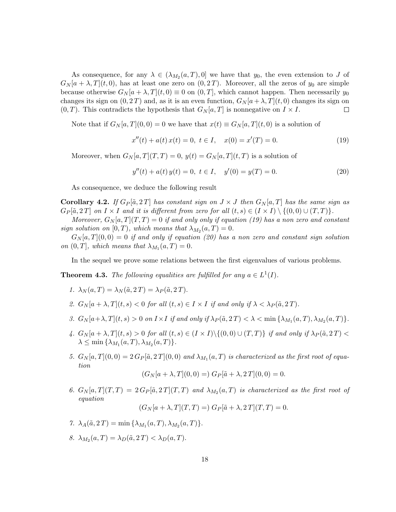As consequence, for any  $\lambda \in (\lambda_{M_2}(a, T), 0]$  we have that  $y_0$ , the even extension to J of  $G_N[a + \lambda, T](t, 0)$ , has at least one zero on  $(0, 2T)$ . Moreover, all the zeros of  $y_0$  are simple because otherwise  $G_N[a + \lambda, T](t, 0) \equiv 0$  on  $(0, T]$ , which cannot happen. Then necessarily  $y_0$ changes its sign on  $(0, 2T)$  and, as it is an even function,  $G_N[a + \lambda, T](t, 0)$  changes its sign on  $(0, T)$ . This contradicts the hypothesis that  $G_N[a, T]$  is nonnegative on  $I \times I$ .  $\Box$ 

Note that if  $G_N[a,T](0,0) = 0$  we have that  $x(t) \equiv G_N[a,T](t,0)$  is a solution of

$$
x''(t) + a(t)x(t) = 0, \ t \in I, \quad x(0) = x'(T) = 0.
$$
\n(19)

Moreover, when  $G_N[a,T](T,T) = 0$ ,  $y(t) = G_N[a,T](t,T)$  is a solution of

 $y''(t) + a(t)y(t) = 0, t \in I, y'(0) = y(T) = 0.$  (20)

As consequence, we deduce the following result

**Corollary 4.2.** If  $G_P[\tilde{a}, 2T]$  has constant sign on  $J \times J$  then  $G_N[a, T]$  has the same sign as  $G_P[\tilde{a},2T]$  on  $I \times I$  and it is different from zero for all  $(t,s) \in (I \times I) \setminus \{(0,0) \cup (T,T)\}.$ 

Moreover,  $G_N[a,T](T,T) = 0$  if and only only if equation (19) has a non zero and constant sign solution on  $[0, T)$ , which means that  $\lambda_{M_2}(a, T) = 0$ .

 $G_N[a,T](0,0) = 0$  if and only if equation (20) has a non zero and constant sign solution on  $(0, T]$ , which means that  $\lambda_{M_1}(a, T) = 0$ .

In the sequel we prove some relations between the first eigenvalues of various problems.

**Theorem 4.3.** The following equalities are fulfilled for any  $a \in L^1(I)$ .

- 1.  $\lambda_N(a,T) = \lambda_N(\tilde{a}, 2T) = \lambda_P(\tilde{a}, 2T)$ .
- 2.  $G_N[a + \lambda, T](t, s) < 0$  for all  $(t, s) \in I \times I$  if and only if  $\lambda < \lambda_P(\tilde{a}, 2T)$ .
- 3.  $G_N[a+\lambda,T](t,s) > 0$  on  $I \times I$  if and only if  $\lambda_P(\tilde{a},2T) < \lambda < \min{\{\lambda_{M_1}(a,T),\lambda_{M_2}(a,T)\}}$ .
- 4.  $G_N[a + \lambda, T](t, s) > 0$  for all  $(t, s) \in (I \times I) \setminus \{(0, 0) \cup (T, T)\}\$ if and only if  $\lambda_P(\tilde{a}, 2T) <$  $\lambda \leq \min\{\lambda_{M_1}(a,T), \lambda_{M_2}(a,T)\}.$
- 5.  $G_N[a,T](0,0) = 2 G_P[\tilde{a},2T](0,0)$  and  $\lambda_{M_1}(a,T)$  is characterized as the first root of equation

$$
(G_N[a + \lambda, T](0,0) =) G_P[\tilde{a} + \lambda, 2T](0,0) = 0.
$$

6.  $G_N[a,T](T,T) = 2 G_P[\tilde{a},2T](T,T)$  and  $\lambda_{M_2}(a,T)$  is characterized as the first root of equation

$$
(G_N[a + \lambda, T](T, T) =) G_P[\tilde{a} + \lambda, 2T](T, T) = 0.
$$

- 7.  $\lambda_A(\tilde{a}, 2T) = \min \{ \lambda_{M_1}(a, T), \lambda_{M_2}(a, T) \}.$
- 8.  $\lambda_{M_2}(a,T) = \lambda_D(\tilde{a},2T) < \lambda_D(a,T)$ .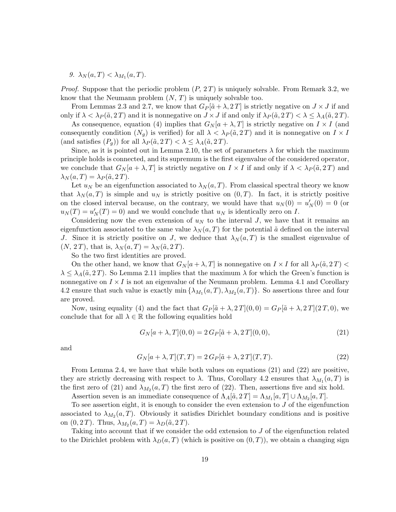9.  $\lambda_N(a,T) < \lambda_{M_1}(a,T)$ .

*Proof.* Suppose that the periodic problem  $(P, 2T)$  is uniquely solvable. From Remark 3.2, we know that the Neumann problem  $(N, T)$  is uniquely solvable too.

From Lemmas 2.3 and 2.7, we know that  $G_P[\tilde{a} + \lambda, 2T]$  is strictly negative on  $J \times J$  if and only if  $\lambda < \lambda_P(\tilde{a}, 2T)$  and it is nonnegative on  $J \times J$  if and only if  $\lambda_P(\tilde{a}, 2T) < \lambda \leq \lambda_A(\tilde{a}, 2T)$ .

As consequence, equation (4) implies that  $G_N[a + \lambda, T]$  is strictly negative on  $I \times I$  (and consequently condition  $(N_q)$  is verified) for all  $\lambda < \lambda_P(\tilde{a}, 2T)$  and it is nonnegative on  $I \times I$ (and satisfies  $(P_q)$ ) for all  $\lambda_P(\tilde{a}, 2T) < \lambda \leq \lambda_A(\tilde{a}, 2T)$ .

Since, as it is pointed out in Lemma 2.10, the set of parameters  $\lambda$  for which the maximum principle holds is connected, and its supremum is the first eigenvalue of the considered operator, we conclude that  $G_N[a + \lambda, T]$  is strictly negative on  $I \times I$  if and only if  $\lambda < \lambda_P(\tilde{a}, 2T)$  and  $\lambda_N(a,T) = \lambda_P(\tilde{a},2T).$ 

Let  $u_N$  be an eigenfunction associated to  $\lambda_N(a,T)$ . From classical spectral theory we know that  $\lambda_N(a,T)$  is simple and  $u_N$  is strictly positive on  $(0,T)$ . In fact, it is strictly positive on the closed interval because, on the contrary, we would have that  $u_N(0) = u'_N(0) = 0$  (or  $u_N(T) = u'_N(T) = 0$  and we would conclude that  $u_N$  is identically zero on I.

Considering now the even extension of  $u<sub>N</sub>$  to the interval J, we have that it remains an eigenfunction associated to the same value  $\lambda_N(a,T)$  for the potential  $\tilde{a}$  defined on the interval J. Since it is strictly positive on J, we deduce that  $\lambda_N(a,T)$  is the smallest eigenvalue of  $(N, 2T)$ , that is,  $\lambda_N(a,T) = \lambda_N(\tilde{a}, 2T)$ .

So the two first identities are proved.

On the other hand, we know that  $G_N[a + \lambda, T]$  is nonnegative on  $I \times I$  for all  $\lambda_P(\tilde{a}, 2T)$  $\lambda \leq \lambda_A(\tilde{a}, 2T)$ . So Lemma 2.11 implies that the maximum  $\lambda$  for which the Green's function is nonnegative on  $I \times I$  is not an eigenvalue of the Neumann problem. Lemma 4.1 and Corollary 4.2 ensure that such value is exactly  $\min \{\lambda_{M_1}(a, T), \lambda_{M_2}(a, T)\}\.$  So assertions three and four are proved.

Now, using equality (4) and the fact that  $G_P[\tilde{a} + \lambda, 2T](0,0) = G_P[\tilde{a} + \lambda, 2T](2T,0)$ , we conclude that for all  $\lambda \in \mathbb{R}$  the following equalities hold

$$
G_N[a + \lambda, T](0,0) = 2 G_P[\tilde{a} + \lambda, 2T](0,0),
$$
\n(21)

and

$$
G_N[a + \lambda, T](T, T) = 2 G_P[\tilde{a} + \lambda, 2T](T, T). \tag{22}
$$

From Lemma 2.4, we have that while both values on equations (21) and (22) are positive, they are strictly decreasing with respect to  $\lambda$ . Thus, Corollary 4.2 ensures that  $\lambda_{M_1}(a,T)$  is the first zero of (21) and  $\lambda_{M_2}(a,T)$  the first zero of (22). Then, assertions five and six hold.

Assertion seven is an immediate consequence of  $\Lambda_A[\tilde{a}, 2T] = \Lambda_{M_1}[a, T] \cup \Lambda_{M_2}[a, T]$ .

To see assertion eight, it is enough to consider the even extension to  $J$  of the eigenfunction associated to  $\lambda_{M_2}(a,T)$ . Obviously it satisfies Dirichlet boundary conditions and is positive on  $(0,2T)$ . Thus,  $\lambda_{M_2}(a,T) = \lambda_D(\tilde{a},2T)$ .

Taking into account that if we consider the odd extension to J of the eigenfunction related to the Dirichlet problem with  $\lambda_D(a, T)$  (which is positive on  $(0, T)$ ), we obtain a changing sign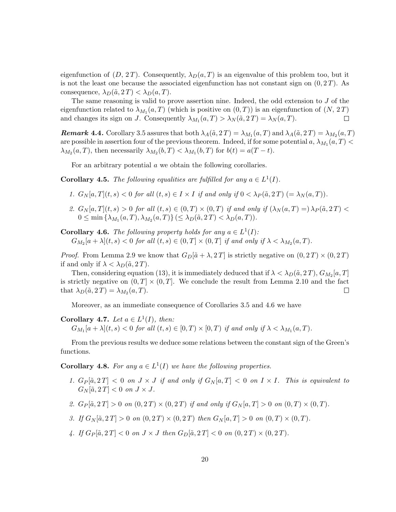eigenfunction of  $(D, 2T)$ . Consequently,  $\lambda_D(a, T)$  is an eigenvalue of this problem too, but it is not the least one because the associated eigenfunction has not constant sign on  $(0, 2T)$ . As consequence,  $\lambda_D(\tilde{a}, 2T) < \lambda_D(a, T)$ .

The same reasoning is valid to prove assertion nine. Indeed, the odd extension to J of the eigenfunction related to  $\lambda_{M_1}(a,T)$  (which is positive on  $(0,T)$ ) is an eigenfunction of  $(N, 2T)$ and changes its sign on J. Consequently  $\lambda_{M_1}(a,T) > \lambda_N(\tilde{a},2T) = \lambda_N(a,T)$ .  $\Box$ 

**Remark 4.4.** Corollary 3.5 assures that both  $\lambda_A(\tilde{a}, 2T) = \lambda_{M_1}(a, T)$  and  $\lambda_A(\tilde{a}, 2T) = \lambda_{M_2}(a, T)$ are possible in assertion four of the previous theorem. Indeed, if for some potential  $a, \lambda_{M_1}(a, T)$  <  $\lambda_{M_2}(a,T)$ , then necessarily  $\lambda_{M_2}(b,T) < \lambda_{M_1}(b,T)$  for  $b(t) = a(T-t)$ .

For an arbitrary potential a we obtain the following corollaries.

**Corollary 4.5.** The following equalities are fulfilled for any  $a \in L^1(I)$ .

- 1.  $G_N[a,T](t,s) < 0$  for all  $(t,s) \in I \times I$  if and only if  $0 < \lambda_P(\tilde{a},2T)$   $(=\lambda_N(a,T))$ .
- 2.  $G_N[a,T](t,s) > 0$  for all  $(t,s) \in (0,T) \times (0,T)$  if and only if  $(\lambda_N(a,T) = \lambda_P(a,T) <$  $0 \le \min \{ \lambda_{M_1}(a, T), \lambda_{M_2}(a, T) \} (\le \lambda_D(\tilde{a}, 2T) < \lambda_D(a, T)).$

**Corollary 4.6.** The following property holds for any  $a \in L^1(I)$ :  $G_{M_2}[a + \lambda](t,s) < 0$  for all  $(t,s) \in (0,T] \times (0,T]$  if and only if  $\lambda < \lambda_{M_2}(a,T)$ .

*Proof.* From Lemma 2.9 we know that  $G_D[\tilde{a} + \lambda, 2T]$  is strictly negative on  $(0, 2T) \times (0, 2T)$ if and only if  $\lambda < \lambda_D(\tilde{a}, 2T)$ .

Then, considering equation (13), it is immediately deduced that if  $\lambda < \lambda_D(\tilde{a}, 2T)$ ,  $G_{M_2}[a, T]$ is strictly negative on  $(0, T] \times (0, T]$ . We conclude the result from Lemma 2.10 and the fact that  $\lambda_D(\tilde{a}, 2T) = \lambda_{M_2}(a, T)$ .  $\Box$ 

Moreover, as an immediate consequence of Corollaries 3.5 and 4.6 we have

## Corollary 4.7. Let  $a \in L^1(I)$ , then:

 $G_{M_1}[a + \lambda](t,s) < 0$  for all  $(t,s) \in [0,T) \times [0,T)$  if and only if  $\lambda < \lambda_{M_1}(a,T)$ .

From the previous results we deduce some relations between the constant sign of the Green's functions.

**Corollary 4.8.** For any  $a \in L^1(I)$  we have the following properties.

- 1.  $G_P[\tilde{a}, 2T] < 0$  on  $J \times J$  if and only if  $G_N[a, T] < 0$  on  $I \times I$ . This is equivalent to  $G_N[\tilde{a}, 2T] < 0$  on  $J \times J$ .
- 2.  $G_P[\tilde{a}, 2T] > 0$  on  $(0, 2T) \times (0, 2T)$  if and only if  $G_N[a, T] > 0$  on  $(0, T) \times (0, T)$ .
- 3. If  $G_N[\tilde{a}, 2T] > 0$  on  $(0, 2T) \times (0, 2T)$  then  $G_N[a, T] > 0$  on  $(0, T) \times (0, T)$ .
- 4. If  $G_P[\tilde{a}, 2T] < 0$  on  $J \times J$  then  $G_D[\tilde{a}, 2T] < 0$  on  $(0, 2T) \times (0, 2T)$ .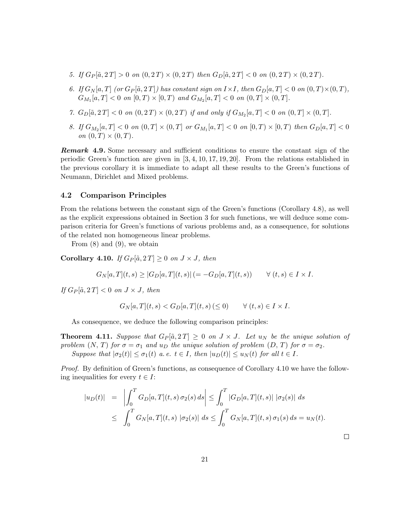- 5. If  $G_P[\tilde{a}, 2T] > 0$  on  $(0, 2T) \times (0, 2T)$  then  $G_D[\tilde{a}, 2T] < 0$  on  $(0, 2T) \times (0, 2T)$ .
- 6. If  $G_N[a,T]$  (or  $G_P[\tilde{a},2T]$ ) has constant sign on  $I \times I$ , then  $G_D[a,T] < 0$  on  $(0,T) \times (0,T)$ ,  $G_{M_1}[a,T] < 0$  on  $[0,T) \times [0,T)$  and  $G_{M_2}[a,T] < 0$  on  $(0,T] \times (0,T]$ .
- 7.  $G_D[\tilde{a}, 2T] < 0$  on  $(0, 2T) \times (0, 2T)$  if and only if  $G_{M_2}[a, T] < 0$  on  $(0, T] \times (0, T]$ .
- 8. If  $G_{M_2}[a,T] < 0$  on  $(0,T] \times (0,T]$  or  $G_{M_1}[a,T] < 0$  on  $(0,T) \times (0,T)$  then  $G_D[a,T] < 0$ *on*  $(0, T) \times (0, T)$ .

**Remark 4.9.** Some necessary and sufficient conditions to ensure the constant sign of the periodic Green's function are given in [3, 4, 10, 17, 19, 20]. From the relations established in the previous corollary it is immediate to adapt all these results to the Green's functions of Neumann, Dirichlet and Mixed problems.

## 4.2 Comparison Principles

From the relations between the constant sign of the Green's functions (Corollary 4.8), as well as the explicit expressions obtained in Section 3 for such functions, we will deduce some comparison criteria for Green's functions of various problems and, as a consequence, for solutions of the related non homogeneous linear problems.

From (8) and (9), we obtain

**Corollary 4.10.** If  $G_P[\tilde{a}, 2T] \geq 0$  on  $J \times J$ , then

$$
G_N[a,T](t,s) \ge |G_D[a,T](t,s)| \left( = -G_D[a,T](t,s) \right) \qquad \forall \ (t,s) \in I \times I.
$$

If  $G_P[\tilde{a}, 2T] < 0$  on  $J \times J$ , then

$$
G_N[a,T](t,s) < G_D[a,T](t,s) \le 0 \qquad \forall (t,s) \in I \times I.
$$

As consequence, we deduce the following comparison principles:

**Theorem 4.11.** Suppose that  $G_P[\tilde{a}, 2T] \geq 0$  on  $J \times J$ . Let  $u_N$  be the unique solution of problem  $(N, T)$  for  $\sigma = \sigma_1$  and  $u_D$  the unique solution of problem  $(D, T)$  for  $\sigma = \sigma_2$ . Suppose that  $|\sigma_2(t)| \leq \sigma_1(t)$  a. e.  $t \in I$ , then  $|u_D(t)| \leq u_N(t)$  for all  $t \in I$ .

Proof. By definition of Green's functions, as consequence of Corollary 4.10 we have the following inequalities for every  $t \in I$ :

$$
|u_D(t)| = \left| \int_0^T G_D[a, T](t, s) \sigma_2(s) ds \right| \leq \int_0^T |G_D[a, T](t, s)| |\sigma_2(s)| ds
$$
  

$$
\leq \int_0^T G_N[a, T](t, s) |\sigma_2(s)| ds \leq \int_0^T G_N[a, T](t, s) \sigma_1(s) ds = u_N(t).
$$

 $\Box$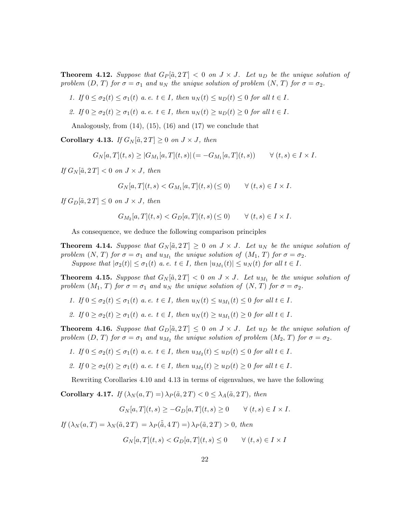**Theorem 4.12.** Suppose that  $G_P[\tilde{a}, 2T] < 0$  on  $J \times J$ . Let  $u_D$  be the unique solution of problem  $(D, T)$  for  $\sigma = \sigma_1$  and  $u_N$  the unique solution of problem  $(N, T)$  for  $\sigma = \sigma_2$ .

- 1. If  $0 \leq \sigma_2(t) \leq \sigma_1(t)$  a. e.  $t \in I$ , then  $u_N(t) \leq u_D(t) \leq 0$  for all  $t \in I$ .
- 2. If  $0 \ge \sigma_2(t) \ge \sigma_1(t)$  a.e.  $t \in I$ , then  $u_N(t) \ge u_D(t) \ge 0$  for all  $t \in I$ .

Analogously, from  $(14)$ ,  $(15)$ ,  $(16)$  and  $(17)$  we conclude that

Corollary 4.13. If  $G_N[\tilde{a}, 2T] \geq 0$  on  $J \times J$ , then

$$
G_N[a,T](t,s) \ge |G_{M_1}[a,T](t,s)| \left( = -G_{M_1}[a,T](t,s) \right) \qquad \forall (t,s) \in I \times I.
$$

If  $G_N[\tilde{a}, 2T] < 0$  on  $J \times J$ , then

$$
G_N[a,T](t,s) < G_{M_1}[a,T](t,s) \, (\le 0) \qquad \forall \, (t,s) \in I \times I.
$$

If  $G_D[\tilde{a}, 2T] \leq 0$  on  $J \times J$ , then

$$
G_{M_2}[a,T](t,s) < G_D[a,T](t,s) \quad \leq 0, \qquad \forall \ (t,s) \in I \times I.
$$

As consequence, we deduce the following comparison principles

**Theorem 4.14.** Suppose that  $G_N[\tilde{a}, 2T] \geq 0$  on  $J \times J$ . Let  $u_N$  be the unique solution of problem  $(N, T)$  for  $\sigma = \sigma_1$  and  $u_{M_1}$  the unique solution of  $(M_1, T)$  for  $\sigma = \sigma_2$ . Suppose that  $|\sigma_2(t)| \leq \sigma_1(t)$  a. e.  $t \in I$ , then  $|u_{M_1}(t)| \leq u_N(t)$  for all  $t \in I$ .

**Theorem 4.15.** Suppose that  $G_N[\tilde{a}, 2T] < 0$  on  $J \times J$ . Let  $u_{M_1}$  be the unique solution of problem  $(M_1, T)$  for  $\sigma = \sigma_1$  and  $u_N$  the unique solution of  $(N, T)$  for  $\sigma = \sigma_2$ .

- 1. If  $0 \leq \sigma_2(t) \leq \sigma_1(t)$  a. e.  $t \in I$ , then  $u_N(t) \leq u_{M_1}(t) \leq 0$  for all  $t \in I$ .
- 2. If  $0 \ge \sigma_2(t) \ge \sigma_1(t)$  a. e.  $t \in I$ , then  $u_N(t) \ge u_{M_1}(t) \ge 0$  for all  $t \in I$ .

**Theorem 4.16.** Suppose that  $G_D[\tilde{a}, 2T] \leq 0$  on  $J \times J$ . Let  $u_D$  be the unique solution of problem  $(D, T)$  for  $\sigma = \sigma_1$  and  $u_{M_2}$  the unique solution of problem  $(M_2, T)$  for  $\sigma = \sigma_2$ .

- 1. If  $0 \leq \sigma_2(t) \leq \sigma_1(t)$  a. e.  $t \in I$ , then  $u_{M_2}(t) \leq u_D(t) \leq 0$  for all  $t \in I$ .
- 2. If  $0 \ge \sigma_2(t) \ge \sigma_1(t)$  a. e.  $t \in I$ , then  $u_{M_2}(t) \ge u_D(t) \ge 0$  for all  $t \in I$ .

Rewriting Corollaries 4.10 and 4.13 in terms of eigenvalues, we have the following

Corollary 4.17. If  $(\lambda_N(a,T) = \lambda_P(\tilde{a}, 2T) < 0 \leq \lambda_A(\tilde{a}, 2T)$ , then

$$
G_N[a,T](t,s) \ge -G_D[a,T](t,s) \ge 0 \qquad \forall (t,s) \in I \times I.
$$

If  $(\lambda_N(a, T) = \lambda_N(\tilde{a}, 2T) = \lambda_P(\tilde{a}, 4T) = \lambda_P(\tilde{a}, 2T) > 0$ , then

 $G_N[a,T](t,s) < G_D[a,T](t,s) \leq 0 \quad \forall (t,s) \in I \times I$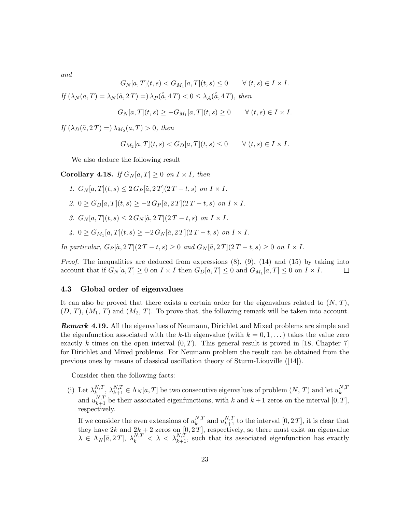and

$$
G_N[a,T](t,s) < G_{M_1}[a,T](t,s) \le 0 \qquad \forall (t,s) \in I \times I.
$$
\n
$$
If \left(\lambda_N(a,T) = \lambda_N(\tilde{a},2T) = \lambda_P(\tilde{a},4T) < 0 \le \lambda_A(\tilde{a},4T), \text{ then}
$$

$$
G_N[a,T](t,s) \geq -G_{M_1}[a,T](t,s) \geq 0 \qquad \forall \; (t,s) \in I \times I.
$$

If  $(\lambda_D(\tilde{a}, 2T)) = \lambda_{M_2}(a, T) > 0$ , then

$$
G_{M_2}[a,T](t,s) < G_D[a,T](t,s) \le 0 \qquad \forall (t,s) \in I \times I.
$$

We also deduce the following result

Corollary 4.18. If  $G_N[a,T] \geq 0$  on  $I \times I$ , then

- 1.  $G_N[a,T](t,s) \leq 2 G_P[\tilde{a},2T](2T-t,s)$  on  $I \times I$ .
- 2.  $0 > G_D[a,T](t,s) > -2 G_P[\tilde{a},2T](2T-t,s)$  on  $I \times I$ .
- 3.  $G_N[a, T](t, s) \leq 2 G_N[\tilde{a}, 2T](2T t, s)$  on  $I \times I$ .
- 4.  $0 \ge G_{M_1}[a,T](t,s) \ge -2 \, G_N[\tilde{a},2\,T](2\,T-t,s) \, \text{ on } I \times I.$

In particular,  $G_P[\tilde{a}, 2T](2T-t,s) > 0$  and  $G_N[\tilde{a}, 2T](2T-t,s) > 0$  on  $I \times I$ .

*Proof.* The inequalities are deduced from expressions  $(8)$ ,  $(9)$ ,  $(14)$  and  $(15)$  by taking into account that if  $G_N[a,T] \geq 0$  on  $I \times I$  then  $G_D[a,T] \leq 0$  and  $G_{M_1}[a,T] \leq 0$  on  $I \times I$ .  $\Box$ 

#### 4.3 Global order of eigenvalues

It can also be proved that there exists a certain order for the eigenvalues related to  $(N, T)$ ,  $(D, T), (M_1, T)$  and  $(M_2, T)$ . To prove that, the following remark will be taken into account.

**Remark 4.19.** All the eigenvalues of Neumann, Dirichlet and Mixed problems are simple and the eigenfunction associated with the k-th eigenvalue (with  $k = 0, 1, \ldots$ ) takes the value zero exactly k times on the open interval  $(0, T)$ . This general result is proved in [18, Chapter 7] for Dirichlet and Mixed problems. For Neumann problem the result can be obtained from the previous ones by means of classical oscillation theory of Sturm-Liouville ([14]).

Consider then the following facts:

(i) Let  $\lambda_k^{N,T}$  $k_{k}^{N,T}, \lambda_{k+1}^{N,T} \in \Lambda_N[a,T]$  be two consecutive eigenvalues of problem  $(N, T)$  and let  $u_k^{N,T}$ k and  $u_{k+1}^{N,T}$  be their associated eigenfunctions, with k and  $k+1$  zeros on the interval  $[0, T]$ , respectively.

If we consider the even extensions of  $u_k^{N,T}$  $k_k^{N,T}$  and  $u_{k+1}^{N,T}$  to the interval  $[0, 2T]$ , it is clear that they have  $2k$  and  $2k + 2$  zeros on  $[0, 2T]$ , respectively, so there must exist an eigenvalue  $\lambda \in \Lambda_N[\tilde{a}, 2T], \lambda_k^{N,T} < \lambda < \lambda_{k+1}^{N,T}$ , such that its associated eigenfunction has exactly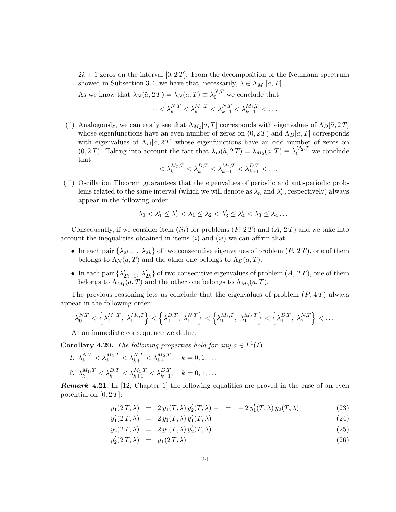$2k + 1$  zeros on the interval  $[0, 2T]$ . From the decomposition of the Neumann spectrum showed in Subsection 3.4, we have that, necessarily,  $\lambda \in \Lambda_{M_1}[a, T]$ .

As we know that  $\lambda_N(\tilde{a}, 2T) = \lambda_N(a, T) \equiv \lambda_0^{N,T}$  we conclude that

$$
\cdots < \lambda_k^{N,T} < \lambda_k^{M_1,T} < \lambda_{k+1}^{N,T} < \lambda_{k+1}^{M_1,T} < \dots
$$

(ii) Analogously, we can easily see that  $\Lambda_{M_2}[a,T]$  corresponds with eigenvalues of  $\Lambda_D[\tilde{a},2T]$ whose eigenfunctions have an even number of zeros on  $(0, 2T)$  and  $\Lambda_D[a, T]$  corresponds with eigenvalues of  $\Lambda_D[\tilde{a}, 2T]$  whose eigenfunctions have an odd number of zeros on  $(0,2T)$ . Taking into account the fact that  $\lambda_D(\tilde{a},2T) = \lambda_{M_2}(a,T) \equiv \lambda_0^{M_2,T}$  we conclude that

$$
\cdots < \lambda_k^{M_2,T} < \lambda_k^{D,T} < \lambda_{k+1}^{M_2,T} < \lambda_{k+1}^{D,T} < \dots
$$

(iii) Oscillation Theorem guarantees that the eigenvalues of periodic and anti-periodic problems related to the same interval (which we will denote as  $\lambda_n$  and  $\lambda'_n$ , respectively) always appear in the following order

$$
\lambda_0<\lambda_1'\leq\lambda_2'<\lambda_1\leq\lambda_2<\lambda_3'\leq\lambda_4'<\lambda_3\leq\lambda_4\ldots
$$

Consequently, if we consider item (iii) for problems  $(P, 2T)$  and  $(A, 2T)$  and we take into account the inequalities obtained in items  $(i)$  and  $(ii)$  we can affirm that

- In each pair  $\{\lambda_{2k-1}, \lambda_{2k}\}$  of two consecutive eigenvalues of problem  $(P, 2T)$ , one of them belongs to  $\Lambda_N(a,T)$  and the other one belongs to  $\Lambda_D(a,T)$ .
- In each pair  $\{\lambda'_{2k-1}, \lambda'_{2k}\}$  of two consecutive eigenvalues of problem  $(A, 2T)$ , one of them belongs to  $\Lambda_{M_1}(a,T)$  and the other one belongs to  $\Lambda_{M_2}(a,T)$ .

The previous reasoning lets us conclude that the eigenvalues of problem  $(P, 4T)$  always appear in the following order:

$$
\lambda_0^{N,T} < \left\lbrace \lambda_0^{M_1,T},\; \lambda_0^{M_2,T} \right\rbrace < \left\lbrace \lambda_0^{D,T},\; \lambda_1^{N,T} \right\rbrace < \left\lbrace \lambda_1^{M_1,T},\; \lambda_1^{M_2,T} \right\rbrace < \left\lbrace \lambda_1^{D,T},\; \lambda_2^{N,T} \right\rbrace < \ldots
$$

As an immediate consequence we deduce

**Corollary 4.20.** The following properties hold for any  $a \in L^1(I)$ .

1. 
$$
\lambda_k^{N,T} < \lambda_k^{M_2,T} < \lambda_{k+1}^{N,T} < \lambda_{k+1}^{M_2,T}, \quad k = 0, 1, \dots
$$
  
\n2.  $\lambda_k^{M_1,T} < \lambda_k^{D,T} < \lambda_{k+1}^{M_1,T} < \lambda_{k+1}^{D,T}, \quad k = 0, 1, \dots$ 

**Remark 4.21.** In [12, Chapter 1] the following equalities are proved in the case of an even potential on  $[0, 2T]$ :

$$
y_1(2\,T,\lambda) = 2\,y_1(T,\lambda)\,y_2'(T,\lambda) - 1 = 1 + 2\,y_1'(T,\lambda)\,y_2(T,\lambda) \tag{23}
$$

$$
y_1'(2\,T,\lambda) = 2\,y_1(T,\lambda)\,y_1'(T,\lambda) \tag{24}
$$

$$
y_2(2T,\lambda) = 2 y_2(T,\lambda) y_2'(T,\lambda) \tag{25}
$$

$$
y_2'(2\,T,\lambda) = y_1(2\,T,\lambda) \tag{26}
$$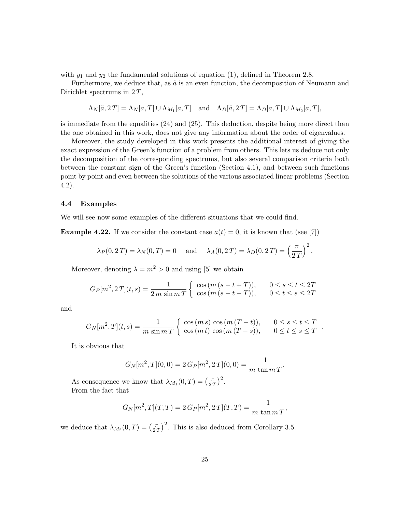with  $y_1$  and  $y_2$  the fundamental solutions of equation (1), defined in Theorem 2.8.

Furthermore, we deduce that, as  $\tilde{a}$  is an even function, the decomposition of Neumann and Dirichlet spectrums in  $2T$ ,

$$
\Lambda_N[\tilde{a},2T] = \Lambda_N[a,T] \cup \Lambda_{M_1}[a,T] \text{ and } \Lambda_D[\tilde{a},2T] = \Lambda_D[a,T] \cup \Lambda_{M_2}[a,T],
$$

is immediate from the equalities (24) and (25). This deduction, despite being more direct than the one obtained in this work, does not give any information about the order of eigenvalues.

Moreover, the study developed in this work presents the additional interest of giving the exact expression of the Green's function of a problem from others. This lets us deduce not only the decomposition of the corresponding spectrums, but also several comparison criteria both between the constant sign of the Green's function (Section 4.1), and between such functions point by point and even between the solutions of the various associated linear problems (Section 4.2).

#### 4.4 Examples

We will see now some examples of the different situations that we could find.

**Example 4.22.** If we consider the constant case  $a(t) = 0$ , it is known that (see [7])

$$
\lambda_P(0, 2T) = \lambda_N(0, T) = 0
$$
 and  $\lambda_A(0, 2T) = \lambda_D(0, 2T) = \left(\frac{\pi}{2T}\right)^2$ .

Moreover, denoting  $\lambda = m^2 > 0$  and using [5] we obtain

$$
G_P[m^2, 2T](t, s) = \frac{1}{2 m \sin m T} \begin{cases} \cos (m (s - t + T)), & 0 \le s \le t \le 2T \\ \cos (m (s - t - T)), & 0 \le t \le s \le 2T \end{cases}
$$

and

$$
G_N[m^2, T](t,s) = \frac{1}{m \sin m T} \begin{cases} \cos(m s) \cos(m (T-t)), & 0 \le s \le t \le T \\ \cos(m t) \cos(m (T-s)), & 0 \le t \le s \le T \end{cases}.
$$

It is obvious that

$$
G_N[m^2, T](0,0) = 2 G_P[m^2, 2 T](0,0) = \frac{1}{m \tan m T}
$$

.

As consequence we know that  $\lambda_{M_1}(0,T) = \left(\frac{\pi}{2T}\right)$  $\frac{\pi}{2T}$ )<sup>2</sup>. From the fact that

$$
G_N[m^2, T](T, T) = 2 G_P[m^2, 2 T](T, T) = \frac{1}{m \tan m T},
$$

we deduce that  $\lambda_{M_2}(0,T) = \left(\frac{\pi}{2L}\right)$  $\left(\frac{\pi}{2T}\right)^2$ . This is also deduced from Corollary 3.5.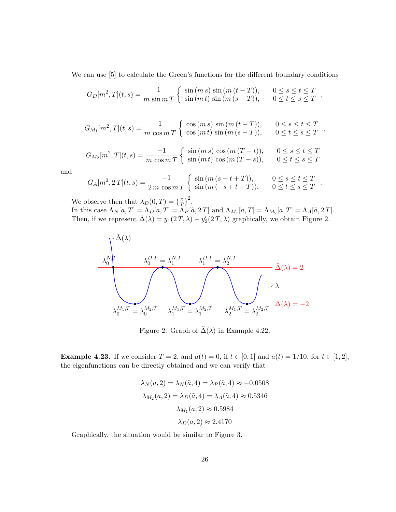We can use [5] to calculate the Green's functions for the different boundary conditions

$$
G_D[m^2, T](t,s) = \frac{1}{m \sin mT} \begin{cases} \sin(m s) \sin(m (t - T)), & 0 \le s \le t \le T \\ \sin(m t) \sin(m (s - T)), & 0 \le t \le s \le T \end{cases}
$$

$$
G_{M_1}[m^2,T](t,s) = \frac{1}{m \cos m T} \begin{cases} \cos(m s) \sin(m (t-T)), & 0 \le s \le t \le T \\ \cos(m t) \sin(m (s-T)), & 0 \le t \le s \le T \end{cases}
$$

$$
G_{M_2}[m^2, T](t, s) = \frac{-1}{m \cos m T} \begin{cases} \sin(m s) \cos(m (T - t)), & 0 \le s \le t \le T \\ \sin(m t) \cos(m (T - s)), & 0 \le t \le s \le T \end{cases}
$$

and

$$
G_A[m^2, 2T](t,s) = \frac{-1}{2 m \cos m T} \begin{cases} \sin (m (s-t+T)), & 0 \le s \le t \le T \\ \sin (m (-s+t+T)), & 0 \le t \le s \le T \end{cases}.
$$

We observe then that  $\lambda_D(0,T) = \left(\frac{\pi}{T}\right)$  $\frac{\pi}{T}$ )<sup>2</sup>.

In this case  $\Lambda_N[a,T] = \Lambda_D[a,T] = \Lambda_P[\tilde{a},2T]$  and  $\Lambda_{M_1}[a,T] = \Lambda_{M_2}[a,T] = \Lambda_A[\tilde{a},2T]$ . Then, if we represent  $\tilde{\Delta}(\lambda) = y_1(2T, \lambda) + y_2'(2T, \lambda)$  graphically, we obtain Figure 2.



Figure 2: Graph of  $\Delta(\lambda)$  in Example 4.22.

**Example 4.23.** If we consider  $T = 2$ , and  $a(t) = 0$ , if  $t \in [0, 1]$  and  $a(t) = 1/10$ , for  $t \in [1, 2]$ , the eigenfunctions can be directly obtained and we can verify that

$$
\lambda_N(a, 2) = \lambda_N(\tilde{a}, 4) = \lambda_P(\tilde{a}, 4) \approx -0.0508
$$

$$
\lambda_{M_2}(a, 2) = \lambda_D(\tilde{a}, 4) = \lambda_A(\tilde{a}, 4) \approx 0.5346
$$

$$
\lambda_{M_1}(a, 2) \approx 0.5984
$$

$$
\lambda_D(a, 2) \approx 2.4170
$$

Graphically, the situation would be similar to Figure 3.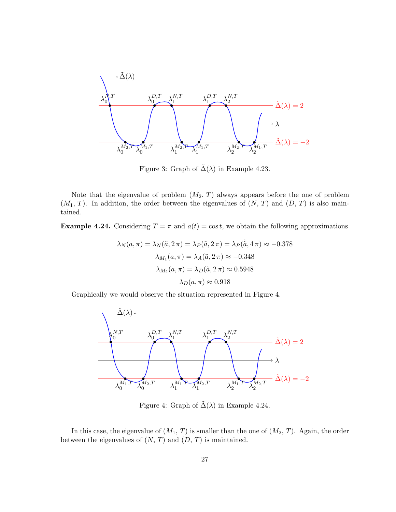

Figure 3: Graph of  $\Delta(\lambda)$  in Example 4.23.

Note that the eigenvalue of problem  $(M_2, T)$  always appears before the one of problem  $(M_1, T)$ . In addition, the order between the eigenvalues of  $(N, T)$  and  $(D, T)$  is also maintained.

**Example 4.24.** Considering  $T = \pi$  and  $a(t) = \cos t$ , we obtain the following approximations

$$
\lambda_N(a,\pi) = \lambda_N(\tilde{a}, 2\pi) = \lambda_P(\tilde{a}, 2\pi) = \lambda_P(\tilde{\tilde{a}}, 4\pi) \approx -0.378
$$

$$
\lambda_{M_1}(a,\pi) = \lambda_A(\tilde{a}, 2\pi) \approx -0.348
$$

$$
\lambda_{M_2}(a,\pi) = \lambda_D(\tilde{a}, 2\pi) \approx 0.5948
$$

$$
\lambda_D(a,\pi) \approx 0.918
$$

Graphically we would observe the situation represented in Figure 4.



Figure 4: Graph of  $\tilde{\Delta}(\lambda)$  in Example 4.24.

In this case, the eigenvalue of  $(M_1, T)$  is smaller than the one of  $(M_2, T)$ . Again, the order between the eigenvalues of  $(N, T)$  and  $(D, T)$  is maintained.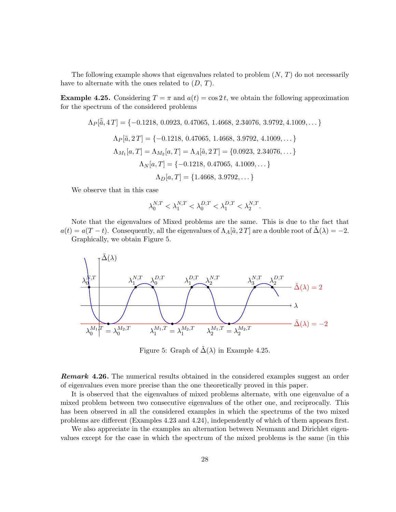The following example shows that eigenvalues related to problem  $(N, T)$  do not necessarily have to alternate with the ones related to  $(D, T)$ .

**Example 4.25.** Considering  $T = \pi$  and  $a(t) = \cos 2t$ , we obtain the following approximation for the spectrum of the considered problems

$$
\Lambda_P[\tilde{\tilde{a}}, 4T] = \{-0.1218, 0.0923, 0.47065, 1.4668, 2.34076, 3.9792, 4.1009, \dots\}
$$
  
\n
$$
\Lambda_P[\tilde{a}, 2T] = \{-0.1218, 0.47065, 1.4668, 3.9792, 4.1009, \dots\}
$$
  
\n
$$
\Lambda_{M_1}[a, T] = \Lambda_{M_2}[a, T] = \Lambda_A[\tilde{a}, 2T] = \{0.0923, 2.34076, \dots\}
$$
  
\n
$$
\Lambda_N[a, T] = \{-0.1218, 0.47065, 4.1009, \dots\}
$$
  
\n
$$
\Lambda_D[a, T] = \{1.4668, 3.9792, \dots\}
$$

We observe that in this case

$$
\lambda_0^{N,T}<\lambda_1^{N,T}<\lambda_0^{D,T}<\lambda_1^{D,T}<\lambda_2^{N,T}.
$$

Note that the eigenvalues of Mixed problems are the same. This is due to the fact that  $a(t) = a(T - t)$ . Consequently, all the eigenvalues of  $\Lambda_A[\tilde{a}, 2T]$  are a double root of  $\tilde{\Delta}(\lambda) = -2$ . Graphically, we obtain Figure 5.



Figure 5: Graph of  $\Delta(\lambda)$  in Example 4.25.

**Remark 4.26.** The numerical results obtained in the considered examples suggest an order of eigenvalues even more precise than the one theoretically proved in this paper.

It is observed that the eigenvalues of mixed problems alternate, with one eigenvalue of a mixed problem between two consecutive eigenvalues of the other one, and reciprocally. This has been observed in all the considered examples in which the spectrums of the two mixed problems are different (Examples 4.23 and 4.24), independently of which of them appears first.

We also appreciate in the examples an alternation between Neumann and Dirichlet eigenvalues except for the case in which the spectrum of the mixed problems is the same (in this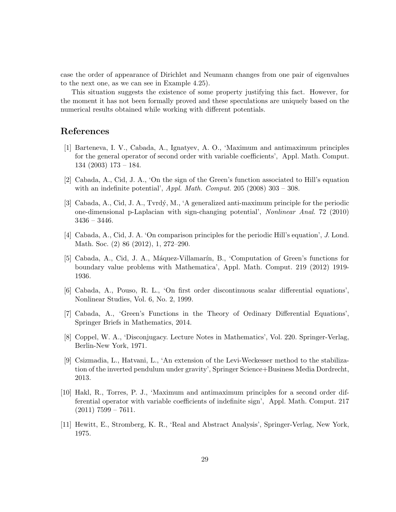case the order of appearance of Dirichlet and Neumann changes from one pair of eigenvalues to the next one, as we can see in Example 4.25).

This situation suggests the existence of some property justifying this fact. However, for the moment it has not been formally proved and these speculations are uniquely based on the numerical results obtained while working with different potentials.

# References

- [1] Barteneva, I. V., Cabada, A., Ignatyev, A. O., 'Maximum and antimaximum principles for the general operator of second order with variable coefficients', Appl. Math. Comput. 134 (2003) 173 – 184.
- [2] Cabada, A., Cid, J. A., 'On the sign of the Green's function associated to Hill's equation with an indefinite potential',  $Appl. Math. Comput. 205 (2008) 303 - 308.$
- [3] Cabada, A., Cid, J. A., Tvrd´y, M., 'A generalized anti-maximum principle for the periodic one-dimensional p-Laplacian with sign-changing potential', Nonlinear Anal. 72 (2010) 3436 – 3446.
- [4] Cabada, A., Cid, J. A. 'On comparison principles for the periodic Hill's equation', J. Lond. Math. Soc. (2) 86 (2012), 1, 272–290.
- [5] Cabada, A., Cid, J. A., Máquez-Villamarín, B., 'Computation of Green's functions for boundary value problems with Mathematica', Appl. Math. Comput. 219 (2012) 1919- 1936.
- [6] Cabada, A., Pouso, R. L., 'On first order discontinuous scalar differential equations', Nonlinear Studies, Vol. 6, No. 2, 1999.
- [7] Cabada, A., 'Green's Functions in the Theory of Ordinary Differential Equations', Springer Briefs in Mathematics, 2014.
- [8] Coppel, W. A., 'Disconjugacy. Lecture Notes in Mathematics', Vol. 220. Springer-Verlag, Berlin-New York, 1971.
- [9] Csizmadia, L., Hatvani, L., 'An extension of the Levi-Weckesser method to the stabilization of the inverted pendulum under gravity', Springer Science+Business Media Dordrecht, 2013.
- [10] Hakl, R., Torres, P. J., 'Maximum and antimaximum principles for a second order differential operator with variable coefficients of indefinite sign', Appl. Math. Comput. 217  $(2011)$  7599 – 7611.
- [11] Hewitt, E., Stromberg, K. R., 'Real and Abstract Analysis', Springer-Verlag, New York, 1975.